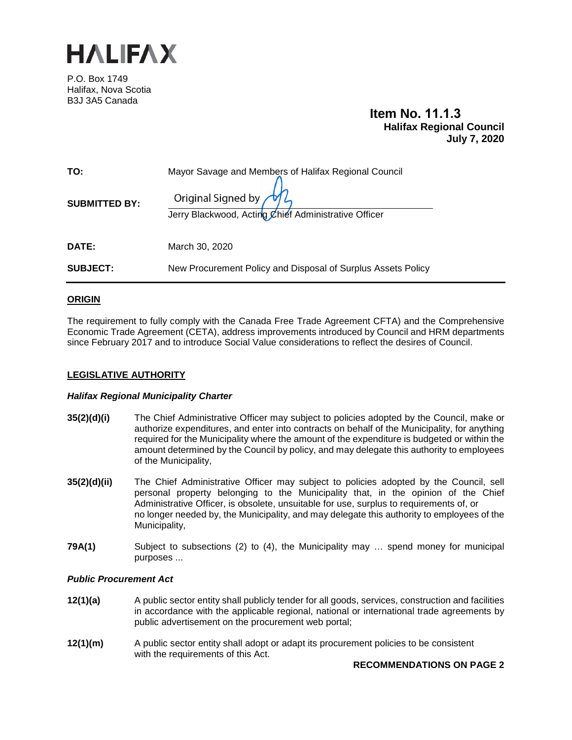

P.O. Box 1749 Halifax, Nova Scotia B3J 3A5 Canada

## **Item No. 11.1.3 Halifax Regional Council July 7, 2020**

| TO:                  | Mayor Savage and Members of Halifax Regional Council                       |
|----------------------|----------------------------------------------------------------------------|
| <b>SUBMITTED BY:</b> | Original Signed by<br>Jerry Blackwood, Acting Chief Administrative Officer |
| DATE:                | March 30, 2020                                                             |
| <b>SUBJECT:</b>      | New Procurement Policy and Disposal of Surplus Assets Policy               |

#### **ORIGIN**

The requirement to fully comply with the Canada Free Trade Agreement CFTA) and the Comprehensive Economic Trade Agreement (CETA), address improvements introduced by Council and HRM departments since February 2017 and to introduce Social Value considerations to reflect the desires of Council.

#### **LEGISLATIVE AUTHORITY**

#### *Halifax Regional Municipality Charter*

- **35(2)(d)(i)** The Chief Administrative Officer may subject to policies adopted by the Council, make or authorize expenditures, and enter into contracts on behalf of the Municipality, for anything required for the Municipality where the amount of the expenditure is budgeted or within the amount determined by the Council by policy, and may delegate this authority to employees of the Municipality,
- **35(2)(d)(ii)** The Chief Administrative Officer may subject to policies adopted by the Council, sell personal property belonging to the Municipality that, in the opinion of the Chief Administrative Officer, is obsolete, unsuitable for use, surplus to requirements of, or no longer needed by, the Municipality, and may delegate this authority to employees of the Municipality,
- **79A(1)** Subject to subsections (2) to (4), the Municipality may ... spend money for municipal purposes ...

#### *Public Procurement Act*

- **12(1)(a)** A public sector entity shall publicly tender for all goods, services, construction and facilities in accordance with the applicable regional, national or international trade agreements by public advertisement on the procurement web portal;
- **12(1)(m)** A public sector entity shall adopt or adapt its procurement policies to be consistent with the requirements of this Act.

#### **RECOMMENDATIONS ON PAGE 2**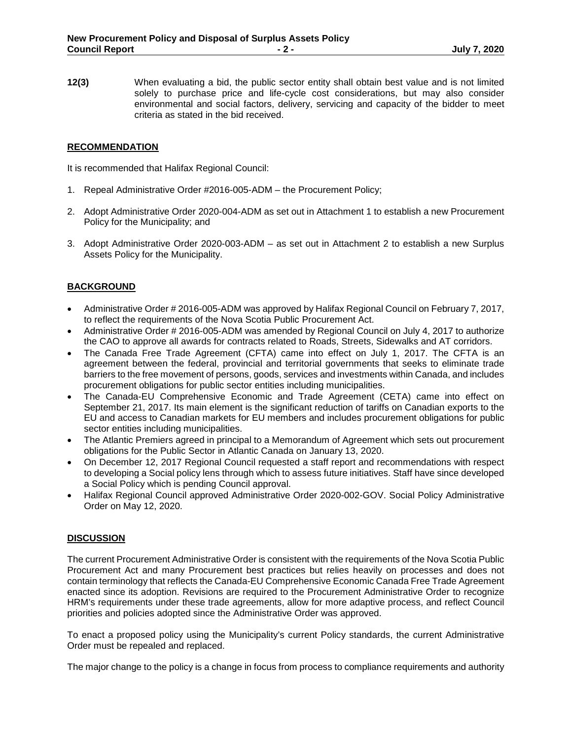**12(3)** When evaluating a bid, the public sector entity shall obtain best value and is not limited solely to purchase price and life-cycle cost considerations, but may also consider environmental and social factors, delivery, servicing and capacity of the bidder to meet criteria as stated in the bid received.

#### **RECOMMENDATION**

It is recommended that Halifax Regional Council:

- 1. Repeal Administrative Order #2016-005-ADM the Procurement Policy;
- 2. Adopt Administrative Order 2020-004-ADM as set out in Attachment 1 to establish a new Procurement Policy for the Municipality; and
- 3. Adopt Administrative Order 2020-003-ADM as set out in Attachment 2 to establish a new Surplus Assets Policy for the Municipality.

#### **BACKGROUND**

- Administrative Order # 2016-005-ADM was approved by Halifax Regional Council on February 7, 2017, to reflect the requirements of the Nova Scotia Public Procurement Act.
- Administrative Order # 2016-005-ADM was amended by Regional Council on July 4, 2017 to authorize the CAO to approve all awards for contracts related to Roads, Streets, Sidewalks and AT corridors.
- The Canada Free Trade Agreement (CFTA) came into effect on July 1, 2017. The CFTA is an agreement between the federal, provincial and territorial governments that seeks to eliminate trade barriers to the free movement of persons, goods, services and investments within Canada, and includes procurement obligations for public sector entities including municipalities.
- The Canada-EU Comprehensive Economic and Trade Agreement (CETA) came into effect on September 21, 2017. Its main element is the significant reduction of tariffs on Canadian exports to the EU and access to Canadian markets for EU members and includes procurement obligations for public sector entities including municipalities.
- The Atlantic Premiers agreed in principal to a Memorandum of Agreement which sets out procurement obligations for the Public Sector in Atlantic Canada on January 13, 2020.
- On December 12, 2017 Regional Council requested a staff report and recommendations with respect to developing a Social policy lens through which to assess future initiatives. Staff have since developed a Social Policy which is pending Council approval.
- Halifax Regional Council approved Administrative Order 2020-002-GOV. Social Policy Administrative Order on May 12, 2020.

#### **DISCUSSION**

The current Procurement Administrative Order is consistent with the requirements of the Nova Scotia Public Procurement Act and many Procurement best practices but relies heavily on processes and does not contain terminology that reflects the Canada-EU Comprehensive Economic Canada Free Trade Agreement enacted since its adoption. Revisions are required to the Procurement Administrative Order to recognize HRM's requirements under these trade agreements, allow for more adaptive process, and reflect Council priorities and policies adopted since the Administrative Order was approved.

To enact a proposed policy using the Municipality's current Policy standards, the current Administrative Order must be repealed and replaced.

The major change to the policy is a change in focus from process to compliance requirements and authority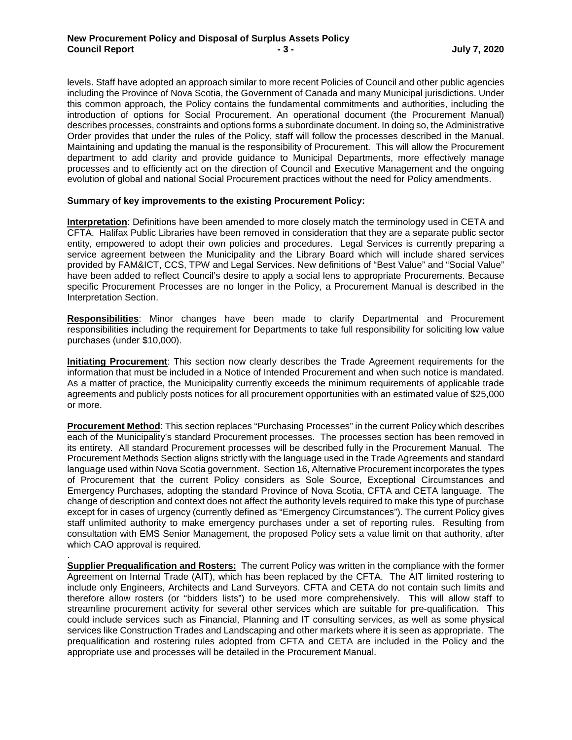levels. Staff have adopted an approach similar to more recent Policies of Council and other public agencies including the Province of Nova Scotia, the Government of Canada and many Municipal jurisdictions. Under this common approach, the Policy contains the fundamental commitments and authorities, including the introduction of options for Social Procurement. An operational document (the Procurement Manual) describes processes, constraints and options forms a subordinate document. In doing so, the Administrative Order provides that under the rules of the Policy, staff will follow the processes described in the Manual. Maintaining and updating the manual is the responsibility of Procurement. This will allow the Procurement department to add clarity and provide guidance to Municipal Departments, more effectively manage processes and to efficiently act on the direction of Council and Executive Management and the ongoing evolution of global and national Social Procurement practices without the need for Policy amendments.

#### **Summary of key improvements to the existing Procurement Policy:**

.

**Interpretation**: Definitions have been amended to more closely match the terminology used in CETA and CFTA. Halifax Public Libraries have been removed in consideration that they are a separate public sector entity, empowered to adopt their own policies and procedures. Legal Services is currently preparing a service agreement between the Municipality and the Library Board which will include shared services provided by FAM&ICT, CCS, TPW and Legal Services. New definitions of "Best Value" and "Social Value" have been added to reflect Council's desire to apply a social lens to appropriate Procurements. Because specific Procurement Processes are no longer in the Policy, a Procurement Manual is described in the Interpretation Section.

**Responsibilities**: Minor changes have been made to clarify Departmental and Procurement responsibilities including the requirement for Departments to take full responsibility for soliciting low value purchases (under \$10,000).

**Initiating Procurement**: This section now clearly describes the Trade Agreement requirements for the information that must be included in a Notice of Intended Procurement and when such notice is mandated. As a matter of practice, the Municipality currently exceeds the minimum requirements of applicable trade agreements and publicly posts notices for all procurement opportunities with an estimated value of \$25,000 or more.

**Procurement Method**: This section replaces "Purchasing Processes" in the current Policy which describes each of the Municipality's standard Procurement processes. The processes section has been removed in its entirety. All standard Procurement processes will be described fully in the Procurement Manual. The Procurement Methods Section aligns strictly with the language used in the Trade Agreements and standard language used within Nova Scotia government. Section 16, Alternative Procurement incorporates the types of Procurement that the current Policy considers as Sole Source, Exceptional Circumstances and Emergency Purchases, adopting the standard Province of Nova Scotia, CFTA and CETA language. The change of description and context does not affect the authority levels required to make this type of purchase except for in cases of urgency (currently defined as "Emergency Circumstances"). The current Policy gives staff unlimited authority to make emergency purchases under a set of reporting rules. Resulting from consultation with EMS Senior Management, the proposed Policy sets a value limit on that authority, after which CAO approval is required.

**Supplier Prequalification and Rosters:** The current Policy was written in the compliance with the former Agreement on Internal Trade (AIT), which has been replaced by the CFTA. The AIT limited rostering to include only Engineers, Architects and Land Surveyors. CFTA and CETA do not contain such limits and therefore allow rosters (or "bidders lists") to be used more comprehensively. This will allow staff to streamline procurement activity for several other services which are suitable for pre-qualification. This could include services such as Financial, Planning and IT consulting services, as well as some physical services like Construction Trades and Landscaping and other markets where it is seen as appropriate. The prequalification and rostering rules adopted from CFTA and CETA are included in the Policy and the appropriate use and processes will be detailed in the Procurement Manual.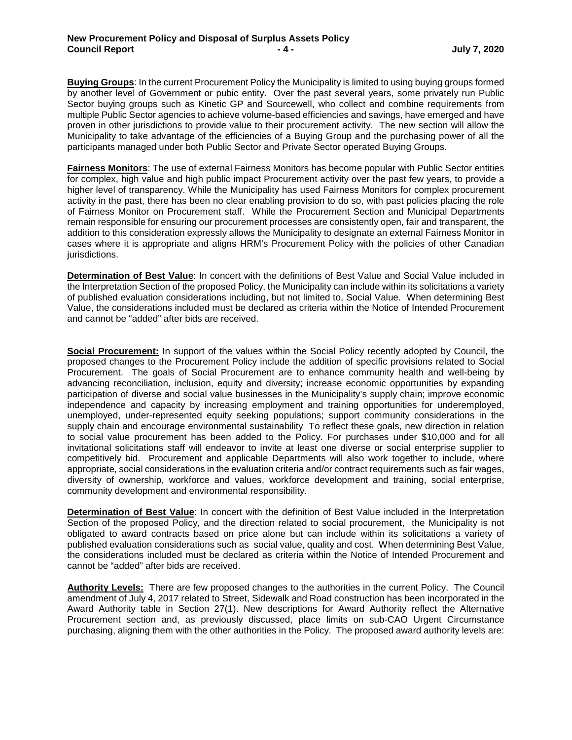**Buying Groups**: In the current Procurement Policy the Municipality is limited to using buying groups formed by another level of Government or pubic entity. Over the past several years, some privately run Public Sector buying groups such as Kinetic GP and Sourcewell, who collect and combine requirements from multiple Public Sector agencies to achieve volume-based efficiencies and savings, have emerged and have proven in other jurisdictions to provide value to their procurement activity. The new section will allow the Municipality to take advantage of the efficiencies of a Buying Group and the purchasing power of all the participants managed under both Public Sector and Private Sector operated Buying Groups.

**Fairness Monitors**: The use of external Fairness Monitors has become popular with Public Sector entities for complex, high value and high public impact Procurement activity over the past few years, to provide a higher level of transparency. While the Municipality has used Fairness Monitors for complex procurement activity in the past, there has been no clear enabling provision to do so, with past policies placing the role of Fairness Monitor on Procurement staff. While the Procurement Section and Municipal Departments remain responsible for ensuring our procurement processes are consistently open, fair and transparent, the addition to this consideration expressly allows the Municipality to designate an external Fairness Monitor in cases where it is appropriate and aligns HRM's Procurement Policy with the policies of other Canadian jurisdictions.

**Determination of Best Value**: In concert with the definitions of Best Value and Social Value included in the Interpretation Section of the proposed Policy, the Municipality can include within its solicitations a variety of published evaluation considerations including, but not limited to, Social Value. When determining Best Value, the considerations included must be declared as criteria within the Notice of Intended Procurement and cannot be "added" after bids are received.

**Social Procurement:** In support of the values within the Social Policy recently adopted by Council, the proposed changes to the Procurement Policy include the addition of specific provisions related to Social Procurement. The goals of Social Procurement are to enhance community health and well-being by advancing reconciliation, inclusion, equity and diversity; increase economic opportunities by expanding participation of diverse and social value businesses in the Municipality's supply chain; improve economic independence and capacity by increasing employment and training opportunities for underemployed, unemployed, under-represented equity seeking populations; support community considerations in the supply chain and encourage environmental sustainability To reflect these goals, new direction in relation to social value procurement has been added to the Policy. For purchases under \$10,000 and for all invitational solicitations staff will endeavor to invite at least one diverse or social enterprise supplier to competitively bid. Procurement and applicable Departments will also work together to include, where appropriate, social considerations in the evaluation criteria and/or contract requirements such as fair wages, diversity of ownership, workforce and values, workforce development and training, social enterprise, community development and environmental responsibility.

**Determination of Best Value**: In concert with the definition of Best Value included in the Interpretation Section of the proposed Policy, and the direction related to social procurement, the Municipality is not obligated to award contracts based on price alone but can include within its solicitations a variety of published evaluation considerations such as social value, quality and cost. When determining Best Value, the considerations included must be declared as criteria within the Notice of Intended Procurement and cannot be "added" after bids are received.

**Authority Levels:** There are few proposed changes to the authorities in the current Policy. The Council amendment of July 4, 2017 related to Street, Sidewalk and Road construction has been incorporated in the Award Authority table in Section 27(1). New descriptions for Award Authority reflect the Alternative Procurement section and, as previously discussed, place limits on sub-CAO Urgent Circumstance purchasing, aligning them with the other authorities in the Policy. The proposed award authority levels are: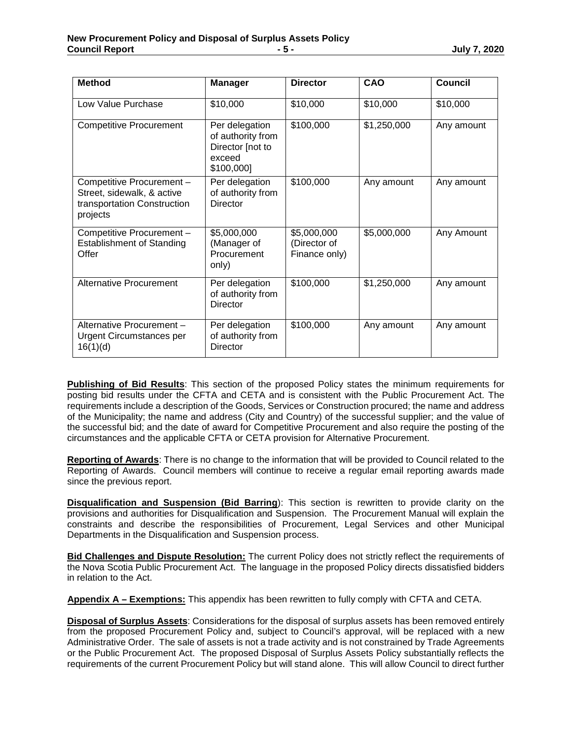| <b>Method</b>                                                                                      | <b>Manager</b>                                                                  | <b>Director</b>                              | CAO         | Council    |
|----------------------------------------------------------------------------------------------------|---------------------------------------------------------------------------------|----------------------------------------------|-------------|------------|
| Low Value Purchase                                                                                 | \$10,000                                                                        | \$10,000                                     | \$10,000    | \$10,000   |
| <b>Competitive Procurement</b>                                                                     | Per delegation<br>of authority from<br>Director [not to<br>exceed<br>\$100,000] | \$100,000                                    | \$1,250,000 | Any amount |
| Competitive Procurement -<br>Street, sidewalk, & active<br>transportation Construction<br>projects | Per delegation<br>of authority from<br><b>Director</b>                          | \$100,000                                    | Any amount  | Any amount |
| Competitive Procurement -<br><b>Establishment of Standing</b><br>Offer                             | \$5,000,000<br>(Manager of<br>Procurement<br>only)                              | \$5,000,000<br>(Director of<br>Finance only) | \$5,000,000 | Any Amount |
| <b>Alternative Procurement</b>                                                                     | Per delegation<br>of authority from<br><b>Director</b>                          | \$100,000                                    | \$1,250,000 | Any amount |
| Alternative Procurement-<br><b>Urgent Circumstances per</b><br>16(1)(d)                            | Per delegation<br>of authority from<br><b>Director</b>                          | \$100,000                                    | Any amount  | Any amount |

**Publishing of Bid Results**: This section of the proposed Policy states the minimum requirements for posting bid results under the CFTA and CETA and is consistent with the Public Procurement Act. The requirements include a description of the Goods, Services or Construction procured; the name and address of the Municipality; the name and address (City and Country) of the successful supplier; and the value of the successful bid; and the date of award for Competitive Procurement and also require the posting of the circumstances and the applicable CFTA or CETA provision for Alternative Procurement.

**Reporting of Awards**: There is no change to the information that will be provided to Council related to the Reporting of Awards. Council members will continue to receive a regular email reporting awards made since the previous report.

**Disqualification and Suspension (Bid Barring**): This section is rewritten to provide clarity on the provisions and authorities for Disqualification and Suspension. The Procurement Manual will explain the constraints and describe the responsibilities of Procurement, Legal Services and other Municipal Departments in the Disqualification and Suspension process.

**Bid Challenges and Dispute Resolution:** The current Policy does not strictly reflect the requirements of the Nova Scotia Public Procurement Act. The language in the proposed Policy directs dissatisfied bidders in relation to the Act.

**Appendix A – Exemptions:** This appendix has been rewritten to fully comply with CFTA and CETA.

**Disposal of Surplus Assets**: Considerations for the disposal of surplus assets has been removed entirely from the proposed Procurement Policy and, subject to Council's approval, will be replaced with a new Administrative Order. The sale of assets is not a trade activity and is not constrained by Trade Agreements or the Public Procurement Act. The proposed Disposal of Surplus Assets Policy substantially reflects the requirements of the current Procurement Policy but will stand alone. This will allow Council to direct further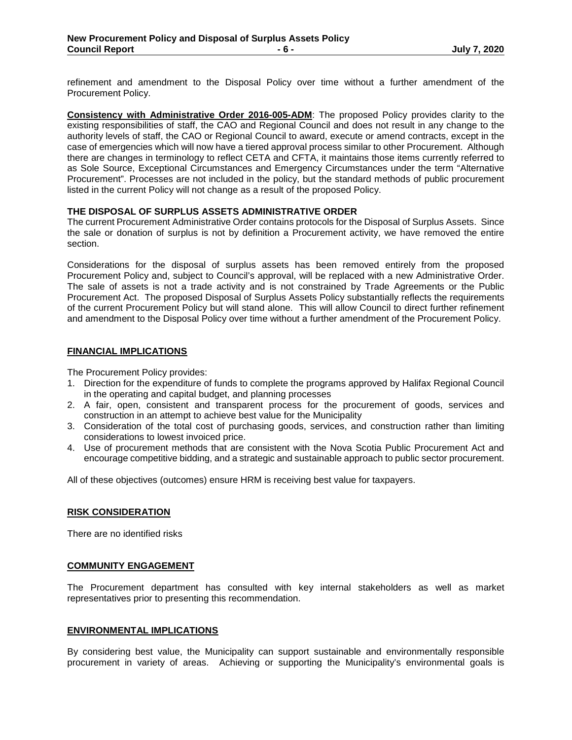refinement and amendment to the Disposal Policy over time without a further amendment of the Procurement Policy.

**Consistency with Administrative Order 2016-005-ADM**: The proposed Policy provides clarity to the existing responsibilities of staff, the CAO and Regional Council and does not result in any change to the authority levels of staff, the CAO or Regional Council to award, execute or amend contracts, except in the case of emergencies which will now have a tiered approval process similar to other Procurement. Although there are changes in terminology to reflect CETA and CFTA, it maintains those items currently referred to as Sole Source, Exceptional Circumstances and Emergency Circumstances under the term "Alternative Procurement". Processes are not included in the policy, but the standard methods of public procurement listed in the current Policy will not change as a result of the proposed Policy.

#### **THE DISPOSAL OF SURPLUS ASSETS ADMINISTRATIVE ORDER**

The current Procurement Administrative Order contains protocols for the Disposal of Surplus Assets. Since the sale or donation of surplus is not by definition a Procurement activity, we have removed the entire section.

Considerations for the disposal of surplus assets has been removed entirely from the proposed Procurement Policy and, subject to Council's approval, will be replaced with a new Administrative Order. The sale of assets is not a trade activity and is not constrained by Trade Agreements or the Public Procurement Act. The proposed Disposal of Surplus Assets Policy substantially reflects the requirements of the current Procurement Policy but will stand alone. This will allow Council to direct further refinement and amendment to the Disposal Policy over time without a further amendment of the Procurement Policy.

#### **FINANCIAL IMPLICATIONS**

The Procurement Policy provides:

- 1. Direction for the expenditure of funds to complete the programs approved by Halifax Regional Council in the operating and capital budget, and planning processes
- 2. A fair, open, consistent and transparent process for the procurement of goods, services and construction in an attempt to achieve best value for the Municipality
- 3. Consideration of the total cost of purchasing goods, services, and construction rather than limiting considerations to lowest invoiced price.
- 4. Use of procurement methods that are consistent with the Nova Scotia Public Procurement Act and encourage competitive bidding, and a strategic and sustainable approach to public sector procurement.

All of these objectives (outcomes) ensure HRM is receiving best value for taxpayers.

#### **RISK CONSIDERATION**

There are no identified risks

#### **COMMUNITY ENGAGEMENT**

The Procurement department has consulted with key internal stakeholders as well as market representatives prior to presenting this recommendation.

#### **ENVIRONMENTAL IMPLICATIONS**

By considering best value, the Municipality can support sustainable and environmentally responsible procurement in variety of areas. Achieving or supporting the Municipality's environmental goals is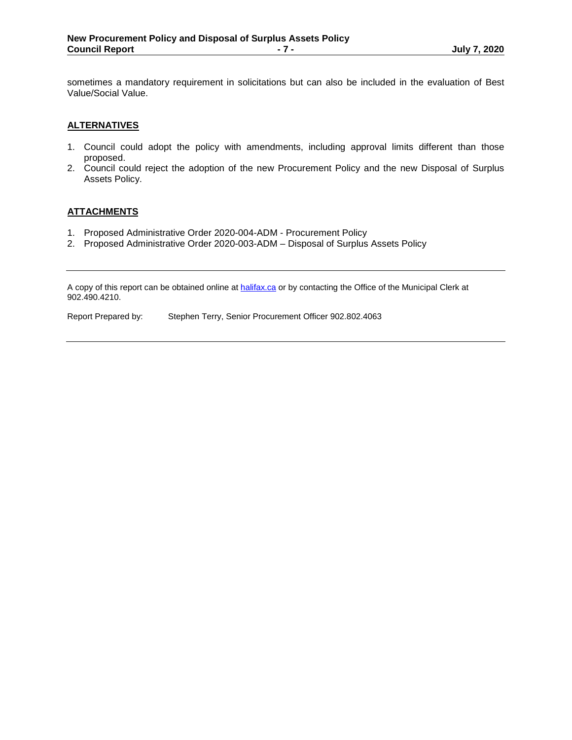sometimes a mandatory requirement in solicitations but can also be included in the evaluation of Best Value/Social Value.

#### **ALTERNATIVES**

- 1. Council could adopt the policy with amendments, including approval limits different than those proposed.
- 2. Council could reject the adoption of the new Procurement Policy and the new Disposal of Surplus Assets Policy.

#### **ATTACHMENTS**

- 1. Proposed Administrative Order 2020-004-ADM Procurement Policy
- 2. Proposed Administrative Order 2020-003-ADM Disposal of Surplus Assets Policy

A copy of this report can be obtained online a[t halifax.ca](http://www.halifax.ca/) or by contacting the Office of the Municipal Clerk at 902.490.4210.

Report Prepared by: Stephen Terry, Senior Procurement Officer 902.802.4063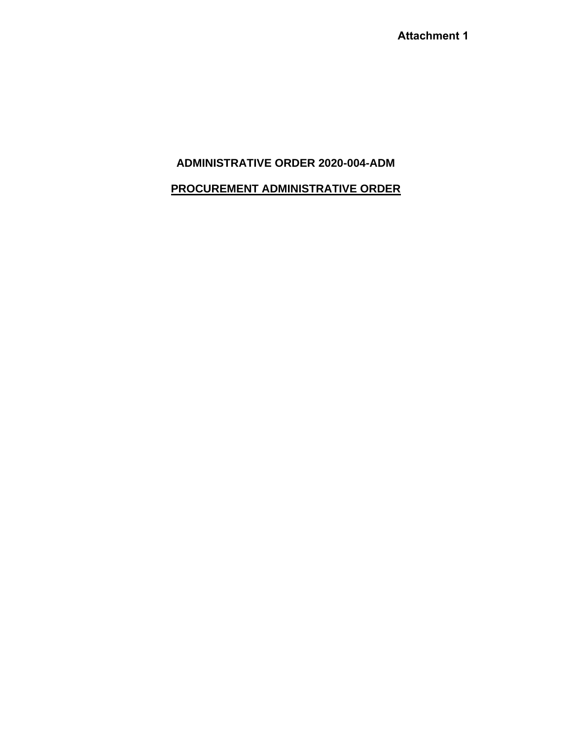**Attachment 1**

## **ADMINISTRATIVE ORDER 2020-004-ADM**

## **PROCUREMENT ADMINISTRATIVE ORDER**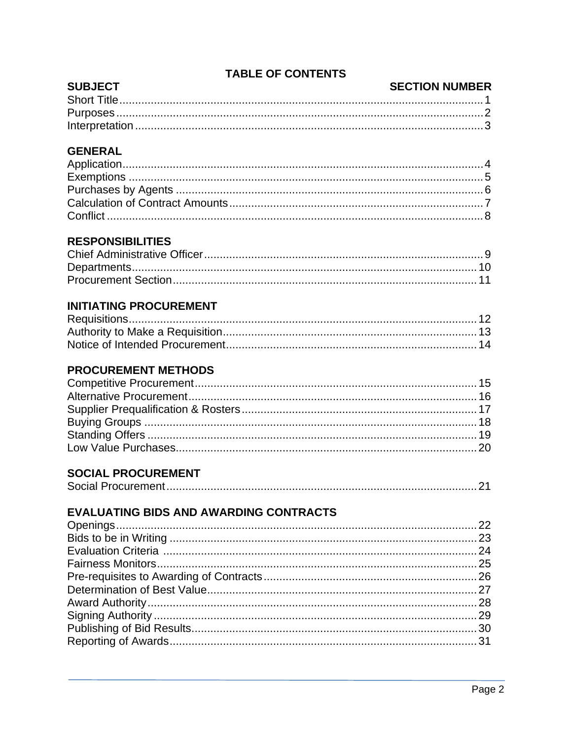## **TABLE OF CONTENTS**

#### **SUBJECT SECTION NUMBER**

# **GENERAL**

# **RESPONSIBILITIES**

# **INITIATING PROCUREMENT**

# **PROCUREMENT METHODS**

# **SOCIAL PROCUREMENT**

|--|

# **EVALUATING BIDS AND AWARDING CONTRACTS**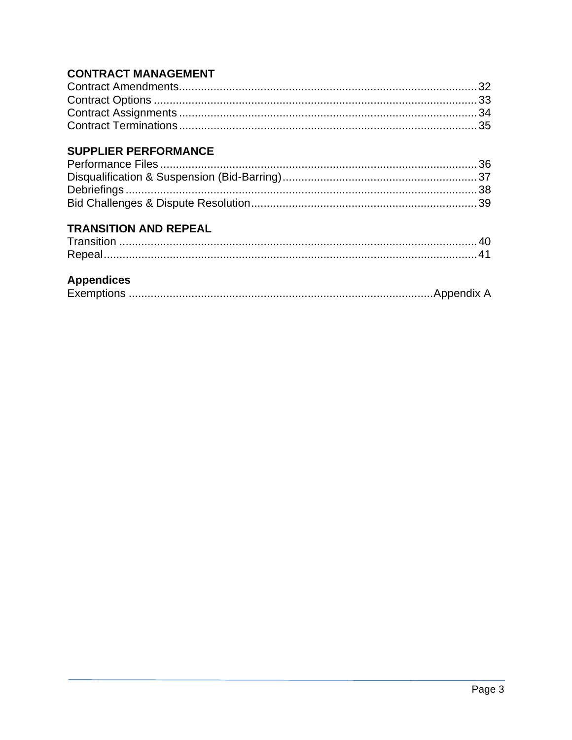# **CONTRACT MANAGEMENT**

# **SUPPLIER PERFORMANCE**

# **TRANSITION AND REPEAL**

| Transitio |  |
|-----------|--|
|           |  |

# **Appendices**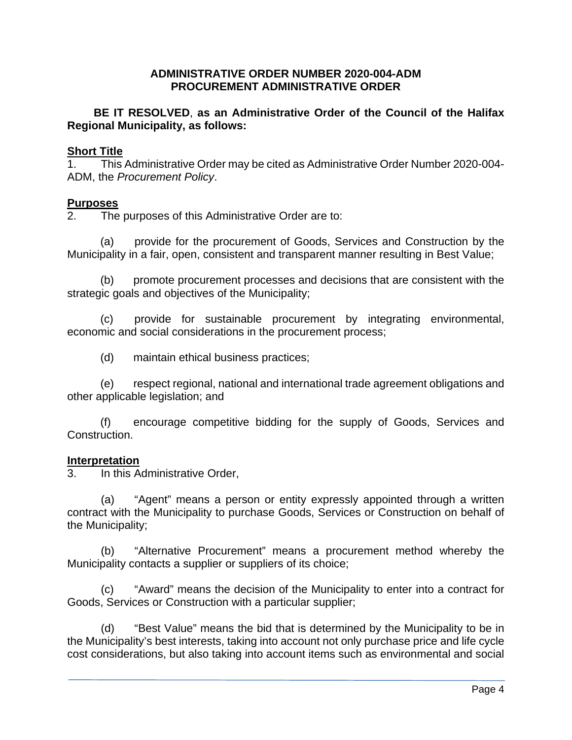#### **ADMINISTRATIVE ORDER NUMBER 2020-004-ADM PROCUREMENT ADMINISTRATIVE ORDER**

#### **BE IT RESOLVED**, **as an Administrative Order of the Council of the Halifax Regional Municipality, as follows:**

#### **Short Title**

1. This Administrative Order may be cited as Administrative Order Number 2020-004- ADM, the *Procurement Policy*.

# **Purposes**<br>2 The

The purposes of this Administrative Order are to:

(a) provide for the procurement of Goods, Services and Construction by the Municipality in a fair, open, consistent and transparent manner resulting in Best Value;

(b) promote procurement processes and decisions that are consistent with the strategic goals and objectives of the Municipality;

(c) provide for sustainable procurement by integrating environmental, economic and social considerations in the procurement process;

(d) maintain ethical business practices;

(e) respect regional, national and international trade agreement obligations and other applicable legislation; and

(f) encourage competitive bidding for the supply of Goods, Services and Construction.

# **Interpretation**<br>3. In this A

In this Administrative Order,

(a) "Agent" means a person or entity expressly appointed through a written contract with the Municipality to purchase Goods, Services or Construction on behalf of the Municipality;

(b) "Alternative Procurement" means a procurement method whereby the Municipality contacts a supplier or suppliers of its choice;

(c) "Award" means the decision of the Municipality to enter into a contract for Goods, Services or Construction with a particular supplier;

(d) "Best Value" means the bid that is determined by the Municipality to be in the Municipality's best interests, taking into account not only purchase price and life cycle cost considerations, but also taking into account items such as environmental and social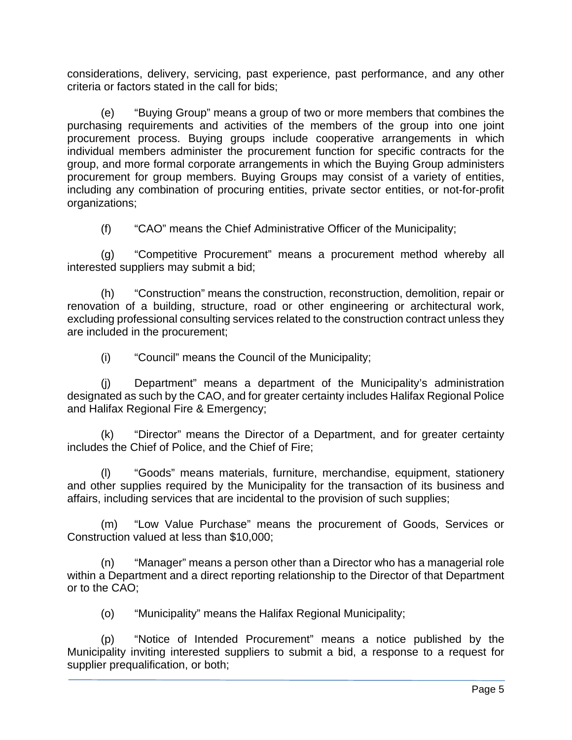considerations, delivery, servicing, past experience, past performance, and any other criteria or factors stated in the call for bids;

(e) "Buying Group" means a group of two or more members that combines the purchasing requirements and activities of the members of the group into one joint procurement process. Buying groups include cooperative arrangements in which individual members administer the procurement function for specific contracts for the group, and more formal corporate arrangements in which the Buying Group administers procurement for group members. Buying Groups may consist of a variety of entities, including any combination of procuring entities, private sector entities, or not-for-profit organizations;

(f) "CAO" means the Chief Administrative Officer of the Municipality;

(g) "Competitive Procurement" means a procurement method whereby all interested suppliers may submit a bid;

(h) "Construction" means the construction, reconstruction, demolition, repair or renovation of a building, structure, road or other engineering or architectural work, excluding professional consulting services related to the construction contract unless they are included in the procurement;

(i) "Council" means the Council of the Municipality;

(j) Department" means a department of the Municipality's administration designated as such by the CAO, and for greater certainty includes Halifax Regional Police and Halifax Regional Fire & Emergency;

(k) "Director" means the Director of a Department, and for greater certainty includes the Chief of Police, and the Chief of Fire;

(l) "Goods" means materials, furniture, merchandise, equipment, stationery and other supplies required by the Municipality for the transaction of its business and affairs, including services that are incidental to the provision of such supplies;

(m) "Low Value Purchase" means the procurement of Goods, Services or Construction valued at less than \$10,000;

(n) "Manager" means a person other than a Director who has a managerial role within a Department and a direct reporting relationship to the Director of that Department or to the CAO;

(o) "Municipality" means the Halifax Regional Municipality;

(p) "Notice of Intended Procurement" means a notice published by the Municipality inviting interested suppliers to submit a bid, a response to a request for supplier prequalification, or both;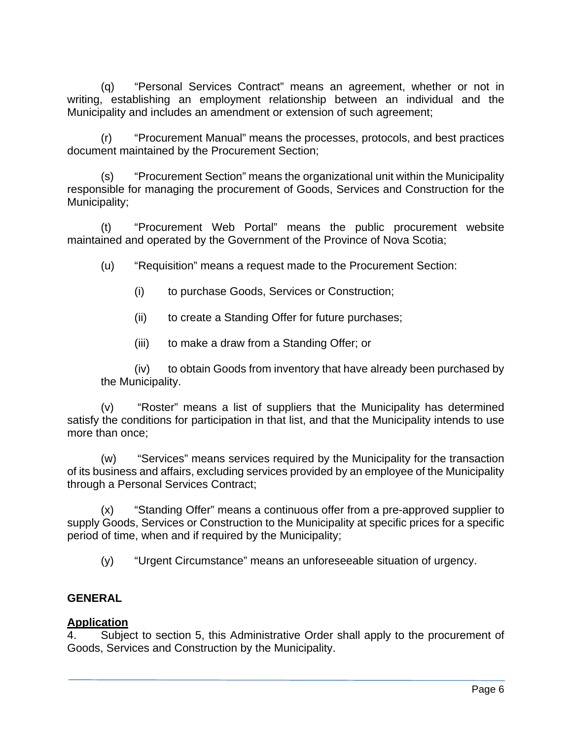(q) "Personal Services Contract" means an agreement, whether or not in writing, establishing an employment relationship between an individual and the Municipality and includes an amendment or extension of such agreement;

(r) "Procurement Manual" means the processes, protocols, and best practices document maintained by the Procurement Section;

(s) "Procurement Section" means the organizational unit within the Municipality responsible for managing the procurement of Goods, Services and Construction for the Municipality;

(t) "Procurement Web Portal" means the public procurement website maintained and operated by the Government of the Province of Nova Scotia;

(u) "Requisition" means a request made to the Procurement Section:

- (i) to purchase Goods, Services or Construction;
- (ii) to create a Standing Offer for future purchases;
- (iii) to make a draw from a Standing Offer; or

(iv) to obtain Goods from inventory that have already been purchased by the Municipality.

(v) "Roster" means a list of suppliers that the Municipality has determined satisfy the conditions for participation in that list, and that the Municipality intends to use more than once;

(w) "Services" means services required by the Municipality for the transaction of its business and affairs, excluding services provided by an employee of the Municipality through a Personal Services Contract;

(x) "Standing Offer" means a continuous offer from a pre-approved supplier to supply Goods, Services or Construction to the Municipality at specific prices for a specific period of time, when and if required by the Municipality;

(y) "Urgent Circumstance" means an unforeseeable situation of urgency.

# **GENERAL**

## **Application**

4. Subject to section 5, this Administrative Order shall apply to the procurement of Goods, Services and Construction by the Municipality.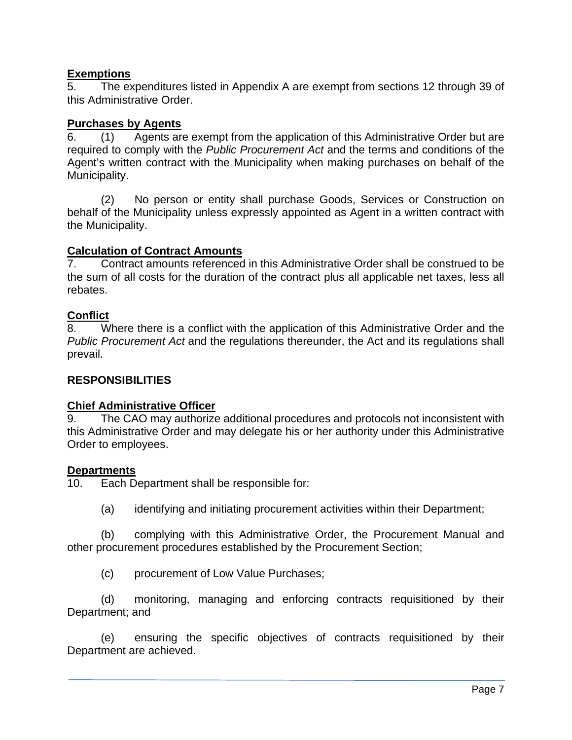## **Exemptions**

5. The expenditures listed in Appendix A are exempt from sections 12 through 39 of this Administrative Order.

#### **Purchases by Agents**

6. (1) Agents are exempt from the application of this Administrative Order but are required to comply with the *Public Procurement Act* and the terms and conditions of the Agent's written contract with the Municipality when making purchases on behalf of the Municipality.

(2) No person or entity shall purchase Goods, Services or Construction on behalf of the Municipality unless expressly appointed as Agent in a written contract with the Municipality.

#### **Calculation of Contract Amounts**

7. Contract amounts referenced in this Administrative Order shall be construed to be the sum of all costs for the duration of the contract plus all applicable net taxes, less all rebates.

#### **Conflict**

8. Where there is a conflict with the application of this Administrative Order and the *Public Procurement Act* and the regulations thereunder, the Act and its regulations shall prevail.

#### **RESPONSIBILITIES**

#### **Chief Administrative Officer**

9. The CAO may authorize additional procedures and protocols not inconsistent with this Administrative Order and may delegate his or her authority under this Administrative Order to employees.

#### **Departments**

10. Each Department shall be responsible for:

(a) identifying and initiating procurement activities within their Department;

(b) complying with this Administrative Order, the Procurement Manual and other procurement procedures established by the Procurement Section;

(c) procurement of Low Value Purchases;

(d) monitoring, managing and enforcing contracts requisitioned by their Department; and

(e) ensuring the specific objectives of contracts requisitioned by their Department are achieved.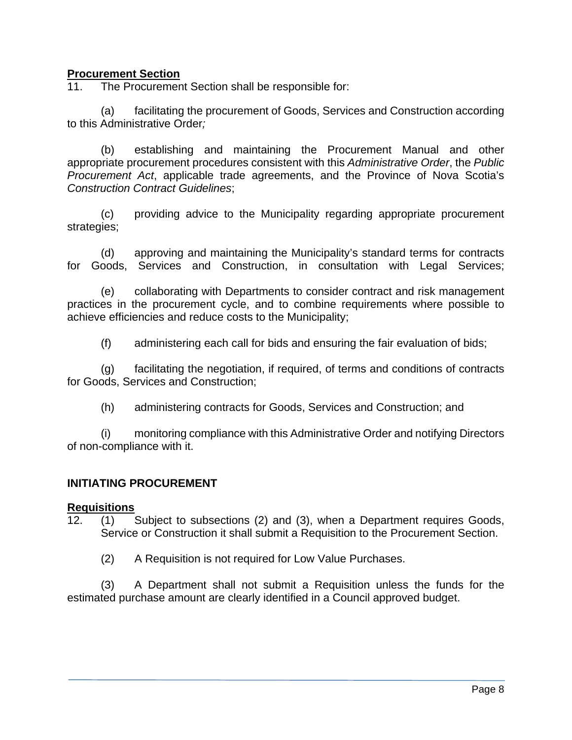### **Procurement Section**

11. The Procurement Section shall be responsible for:

(a) facilitating the procurement of Goods, Services and Construction according to this Administrative Order*;*

(b) establishing and maintaining the Procurement Manual and other appropriate procurement procedures consistent with this *Administrative Order*, the *Public Procurement Act*, applicable trade agreements, and the Province of Nova Scotia's *Construction Contract Guidelines*;

(c) providing advice to the Municipality regarding appropriate procurement strategies;

(d) approving and maintaining the Municipality's standard terms for contracts for Goods, Services and Construction, in consultation with Legal Services;

(e) collaborating with Departments to consider contract and risk management practices in the procurement cycle, and to combine requirements where possible to achieve efficiencies and reduce costs to the Municipality;

(f) administering each call for bids and ensuring the fair evaluation of bids;

(g) facilitating the negotiation, if required, of terms and conditions of contracts for Goods, Services and Construction;

(h) administering contracts for Goods, Services and Construction; and

(i) monitoring compliance with this Administrative Order and notifying Directors of non-compliance with it.

## **INITIATING PROCUREMENT**

#### **Requisitions**

12. (1) Subject to subsections (2) and (3), when a Department requires Goods, Service or Construction it shall submit a Requisition to the Procurement Section.

(2) A Requisition is not required for Low Value Purchases.

(3) A Department shall not submit a Requisition unless the funds for the estimated purchase amount are clearly identified in a Council approved budget.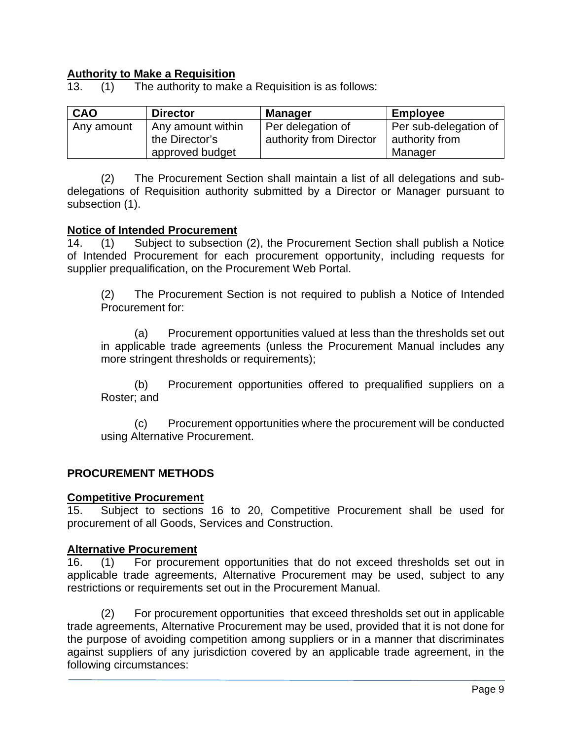# **Authority to Make a Requisition**<br>13. (1) The authority to make

13. (1) The authority to make a Requisition is as follows:

| CAO        | <b>Director</b>   | <b>Manager</b>          | <b>Employee</b>       |
|------------|-------------------|-------------------------|-----------------------|
| Any amount | Any amount within | Per delegation of       | Per sub-delegation of |
|            | the Director's    | authority from Director | authority from        |
|            | approved budget   |                         | Manager               |

(2) The Procurement Section shall maintain a list of all delegations and subdelegations of Requisition authority submitted by a Director or Manager pursuant to subsection (1).

#### **Notice of Intended Procurement**

14. (1) Subject to subsection (2), the Procurement Section shall publish a Notice of Intended Procurement for each procurement opportunity, including requests for supplier prequalification, on the Procurement Web Portal.

(2) The Procurement Section is not required to publish a Notice of Intended Procurement for:

(a) Procurement opportunities valued at less than the thresholds set out in applicable trade agreements (unless the Procurement Manual includes any more stringent thresholds or requirements);

(b) Procurement opportunities offered to prequalified suppliers on a Roster; and

(c) Procurement opportunities where the procurement will be conducted using Alternative Procurement.

#### **PROCUREMENT METHODS**

#### **Competitive Procurement**

15. Subject to sections 16 to 20, Competitive Procurement shall be used for procurement of all Goods, Services and Construction.

#### **Alternative Procurement**

16. (1) For procurement opportunities that do not exceed thresholds set out in applicable trade agreements, Alternative Procurement may be used, subject to any restrictions or requirements set out in the Procurement Manual.

(2) For procurement opportunities that exceed thresholds set out in applicable trade agreements, Alternative Procurement may be used, provided that it is not done for the purpose of avoiding competition among suppliers or in a manner that discriminates against suppliers of any jurisdiction covered by an applicable trade agreement, in the following circumstances: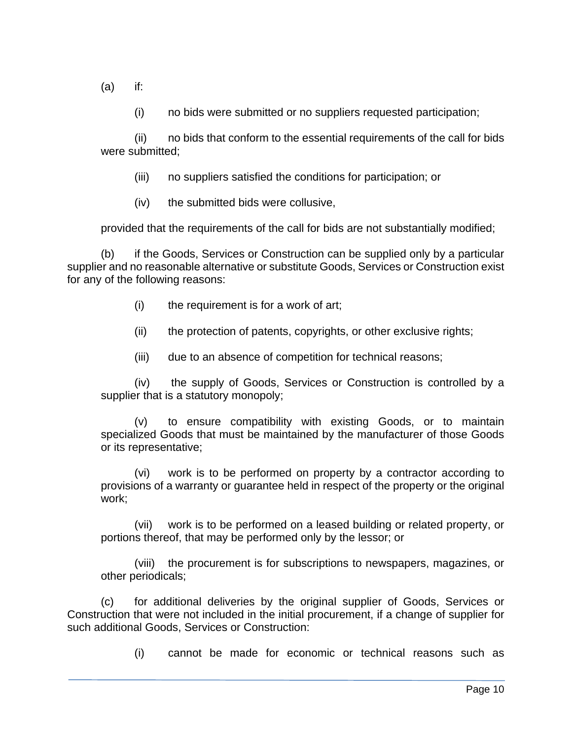(a) if:

(i) no bids were submitted or no suppliers requested participation;

(ii) no bids that conform to the essential requirements of the call for bids were submitted;

- (iii) no suppliers satisfied the conditions for participation; or
- (iv) the submitted bids were collusive,

provided that the requirements of the call for bids are not substantially modified;

(b) if the Goods, Services or Construction can be supplied only by a particular supplier and no reasonable alternative or substitute Goods, Services or Construction exist for any of the following reasons:

- (i) the requirement is for a work of art;
- (ii) the protection of patents, copyrights, or other exclusive rights;
- (iii) due to an absence of competition for technical reasons;

(iv) the supply of Goods, Services or Construction is controlled by a supplier that is a statutory monopoly;

(v) to ensure compatibility with existing Goods, or to maintain specialized Goods that must be maintained by the manufacturer of those Goods or its representative;

(vi) work is to be performed on property by a contractor according to provisions of a warranty or guarantee held in respect of the property or the original work;

(vii) work is to be performed on a leased building or related property, or portions thereof, that may be performed only by the lessor; or

(viii) the procurement is for subscriptions to newspapers, magazines, or other periodicals;

(c) for additional deliveries by the original supplier of Goods, Services or Construction that were not included in the initial procurement, if a change of supplier for such additional Goods, Services or Construction:

(i) cannot be made for economic or technical reasons such as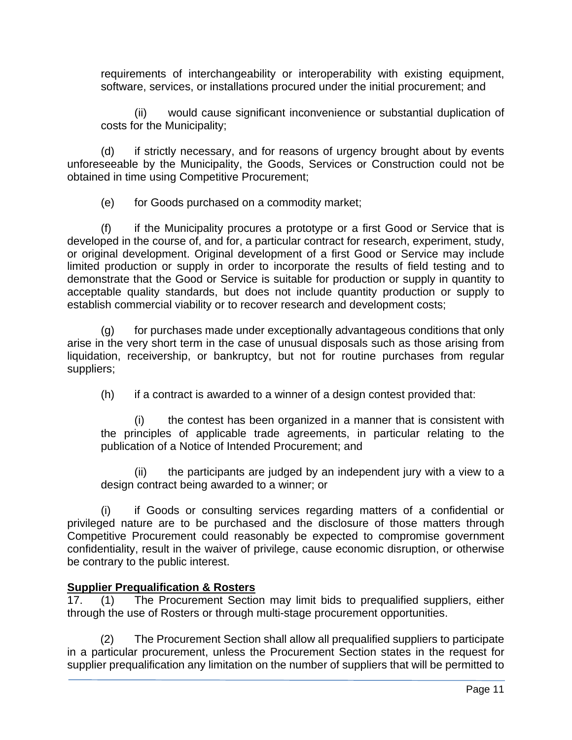requirements of interchangeability or interoperability with existing equipment, software, services, or installations procured under the initial procurement; and

(ii) would cause significant inconvenience or substantial duplication of costs for the Municipality;

(d) if strictly necessary, and for reasons of urgency brought about by events unforeseeable by the Municipality, the Goods, Services or Construction could not be obtained in time using Competitive Procurement;

(e) for Goods purchased on a commodity market;

(f) if the Municipality procures a prototype or a first Good or Service that is developed in the course of, and for, a particular contract for research, experiment, study, or original development. Original development of a first Good or Service may include limited production or supply in order to incorporate the results of field testing and to demonstrate that the Good or Service is suitable for production or supply in quantity to acceptable quality standards, but does not include quantity production or supply to establish commercial viability or to recover research and development costs;

(g) for purchases made under exceptionally advantageous conditions that only arise in the very short term in the case of unusual disposals such as those arising from liquidation, receivership, or bankruptcy, but not for routine purchases from regular suppliers;

(h) if a contract is awarded to a winner of a design contest provided that:

(i) the contest has been organized in a manner that is consistent with the principles of applicable trade agreements, in particular relating to the publication of a Notice of Intended Procurement; and

(ii) the participants are judged by an independent jury with a view to a design contract being awarded to a winner; or

(i) if Goods or consulting services regarding matters of a confidential or privileged nature are to be purchased and the disclosure of those matters through Competitive Procurement could reasonably be expected to compromise government confidentiality, result in the waiver of privilege, cause economic disruption, or otherwise be contrary to the public interest.

## **Supplier Prequalification & Rosters**

17. (1) The Procurement Section may limit bids to prequalified suppliers, either through the use of Rosters or through multi-stage procurement opportunities.

(2) The Procurement Section shall allow all prequalified suppliers to participate in a particular procurement, unless the Procurement Section states in the request for supplier prequalification any limitation on the number of suppliers that will be permitted to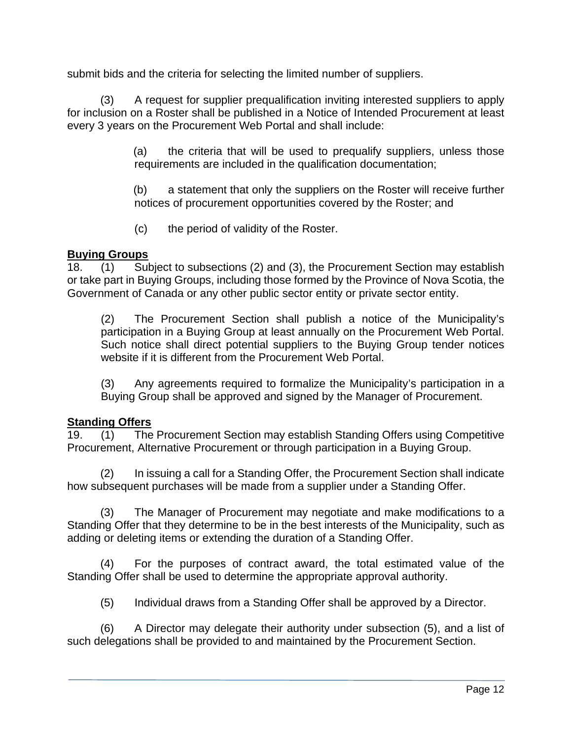submit bids and the criteria for selecting the limited number of suppliers.

(3) A request for supplier prequalification inviting interested suppliers to apply for inclusion on a Roster shall be published in a Notice of Intended Procurement at least every 3 years on the Procurement Web Portal and shall include:

> (a) the criteria that will be used to prequalify suppliers, unless those requirements are included in the qualification documentation;

> (b) a statement that only the suppliers on the Roster will receive further notices of procurement opportunities covered by the Roster; and

(c) the period of validity of the Roster.

### **Buying Groups**

18. (1) Subject to subsections (2) and (3), the Procurement Section may establish or take part in Buying Groups, including those formed by the Province of Nova Scotia, the Government of Canada or any other public sector entity or private sector entity.

(2) The Procurement Section shall publish a notice of the Municipality's participation in a Buying Group at least annually on the Procurement Web Portal. Such notice shall direct potential suppliers to the Buying Group tender notices website if it is different from the Procurement Web Portal.

(3) Any agreements required to formalize the Municipality's participation in a Buying Group shall be approved and signed by the Manager of Procurement.

#### **Standing Offers**

19. (1) The Procurement Section may establish Standing Offers using Competitive Procurement, Alternative Procurement or through participation in a Buying Group.

(2) In issuing a call for a Standing Offer, the Procurement Section shall indicate how subsequent purchases will be made from a supplier under a Standing Offer.

(3) The Manager of Procurement may negotiate and make modifications to a Standing Offer that they determine to be in the best interests of the Municipality, such as adding or deleting items or extending the duration of a Standing Offer.

(4) For the purposes of contract award, the total estimated value of the Standing Offer shall be used to determine the appropriate approval authority.

(5) Individual draws from a Standing Offer shall be approved by a Director.

(6) A Director may delegate their authority under subsection (5), and a list of such delegations shall be provided to and maintained by the Procurement Section.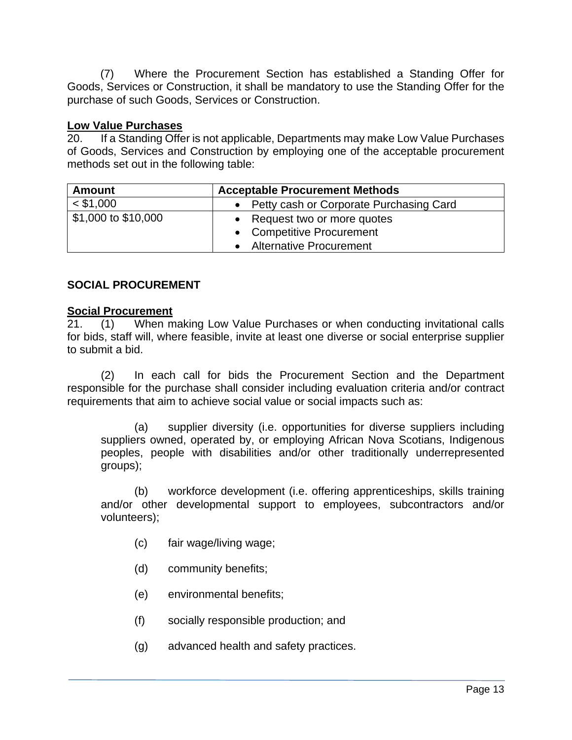(7) Where the Procurement Section has established a Standing Offer for Goods, Services or Construction, it shall be mandatory to use the Standing Offer for the purchase of such Goods, Services or Construction.

#### **Low Value Purchases**

20. If a Standing Offer is not applicable, Departments may make Low Value Purchases of Goods, Services and Construction by employing one of the acceptable procurement methods set out in the following table:

| <b>Amount</b>       | <b>Acceptable Procurement Methods</b>   |  |
|---------------------|-----------------------------------------|--|
| $<$ \$1,000         | Petty cash or Corporate Purchasing Card |  |
| \$1,000 to \$10,000 | • Request two or more quotes            |  |
|                     | • Competitive Procurement               |  |
|                     | <b>Alternative Procurement</b>          |  |

## **SOCIAL PROCUREMENT**

#### **Social Procurement**

21. (1) When making Low Value Purchases or when conducting invitational calls for bids, staff will, where feasible, invite at least one diverse or social enterprise supplier to submit a bid.

(2) In each call for bids the Procurement Section and the Department responsible for the purchase shall consider including evaluation criteria and/or contract requirements that aim to achieve social value or social impacts such as:

(a) supplier diversity (i.e. opportunities for diverse suppliers including suppliers owned, operated by, or employing African Nova Scotians, Indigenous peoples, people with disabilities and/or other traditionally underrepresented groups);

(b) workforce development (i.e. offering apprenticeships, skills training and/or other developmental support to employees, subcontractors and/or volunteers);

- (c) fair wage/living wage;
- (d) community benefits;
- (e) environmental benefits;
- (f) socially responsible production; and
- (g) advanced health and safety practices.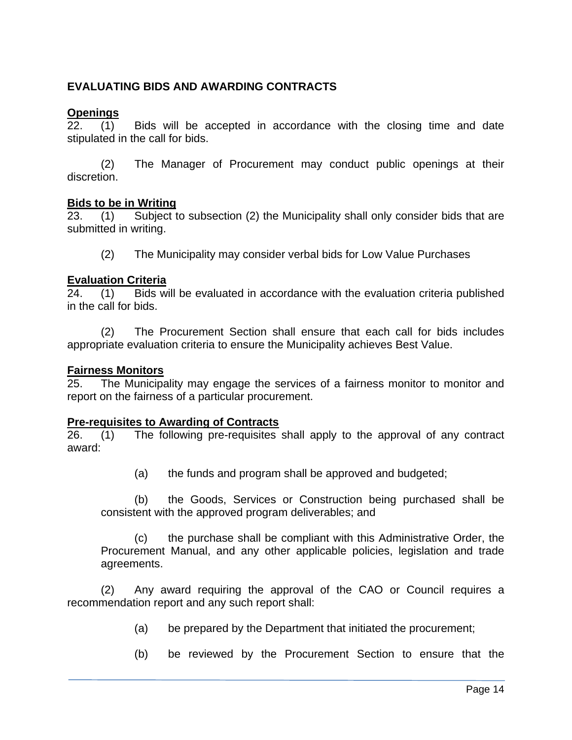## **EVALUATING BIDS AND AWARDING CONTRACTS**

#### **Openings**

22. (1) Bids will be accepted in accordance with the closing time and date stipulated in the call for bids.

 (2) The Manager of Procurement may conduct public openings at their discretion.

# **Bids to be in Writing**<br>23. (1) Subject t

23. (1) Subject to subsection (2) the Municipality shall only consider bids that are submitted in writing.

(2) The Municipality may consider verbal bids for Low Value Purchases

#### **Evaluation Criteria**

24. (1) Bids will be evaluated in accordance with the evaluation criteria published in the call for bids.

 (2) The Procurement Section shall ensure that each call for bids includes appropriate evaluation criteria to ensure the Municipality achieves Best Value.

#### **Fairness Monitors**

25. The Municipality may engage the services of a fairness monitor to monitor and report on the fairness of a particular procurement.

#### **Pre-requisites to Awarding of Contracts**

26. (1) The following pre-requisites shall apply to the approval of any contract award:

(a) the funds and program shall be approved and budgeted;

(b) the Goods, Services or Construction being purchased shall be consistent with the approved program deliverables; and

(c) the purchase shall be compliant with this Administrative Order, the Procurement Manual, and any other applicable policies, legislation and trade agreements.

(2) Any award requiring the approval of the CAO or Council requires a recommendation report and any such report shall:

- (a) be prepared by the Department that initiated the procurement;
- (b) be reviewed by the Procurement Section to ensure that the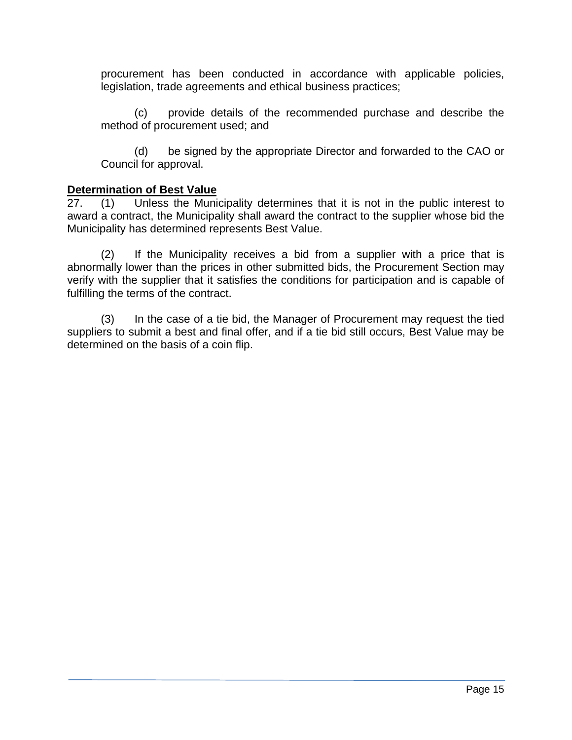procurement has been conducted in accordance with applicable policies, legislation, trade agreements and ethical business practices;

(c) provide details of the recommended purchase and describe the method of procurement used; and

(d) be signed by the appropriate Director and forwarded to the CAO or Council for approval.

#### **Determination of Best Value**

27. (1) Unless the Municipality determines that it is not in the public interest to award a contract, the Municipality shall award the contract to the supplier whose bid the Municipality has determined represents Best Value.

(2) If the Municipality receives a bid from a supplier with a price that is abnormally lower than the prices in other submitted bids, the Procurement Section may verify with the supplier that it satisfies the conditions for participation and is capable of fulfilling the terms of the contract.

(3) In the case of a tie bid, the Manager of Procurement may request the tied suppliers to submit a best and final offer, and if a tie bid still occurs, Best Value may be determined on the basis of a coin flip.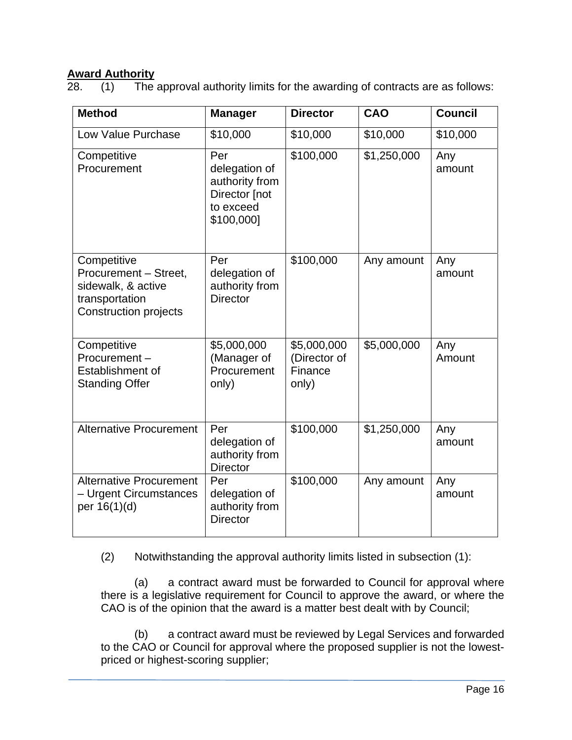# **Award Authority**<br>28. (1) The

 $(1)$  The approval authority limits for the awarding of contracts are as follows:

| <b>Method</b>                                                                                                | <b>Manager</b>                                                                     | <b>Director</b>                                 | <b>CAO</b>  | <b>Council</b> |
|--------------------------------------------------------------------------------------------------------------|------------------------------------------------------------------------------------|-------------------------------------------------|-------------|----------------|
| Low Value Purchase                                                                                           | \$10,000                                                                           | \$10,000                                        | \$10,000    | \$10,000       |
| Competitive<br>Procurement                                                                                   | Per<br>delegation of<br>authority from<br>Director [not<br>to exceed<br>\$100,000] | \$100,000                                       | \$1,250,000 | Any<br>amount  |
| Competitive<br>Procurement - Street,<br>sidewalk, & active<br>transportation<br><b>Construction projects</b> | Per<br>delegation of<br>authority from<br><b>Director</b>                          | \$100,000                                       | Any amount  | Any<br>amount  |
| Competitive<br>Procurement-<br>Establishment of<br><b>Standing Offer</b>                                     | \$5,000,000<br>(Manager of<br>Procurement<br>only)                                 | \$5,000,000<br>(Director of<br>Finance<br>only) | \$5,000,000 | Any<br>Amount  |
| <b>Alternative Procurement</b>                                                                               | Per<br>delegation of<br>authority from<br><b>Director</b>                          | \$100,000                                       | \$1,250,000 | Any<br>amount  |
| <b>Alternative Procurement</b><br>- Urgent Circumstances<br>per 16(1)(d)                                     | Per<br>delegation of<br>authority from<br><b>Director</b>                          | \$100,000                                       | Any amount  | Any<br>amount  |

(2) Notwithstanding the approval authority limits listed in subsection (1):

(a) a contract award must be forwarded to Council for approval where there is a legislative requirement for Council to approve the award, or where the CAO is of the opinion that the award is a matter best dealt with by Council;

(b) a contract award must be reviewed by Legal Services and forwarded to the CAO or Council for approval where the proposed supplier is not the lowestpriced or highest-scoring supplier;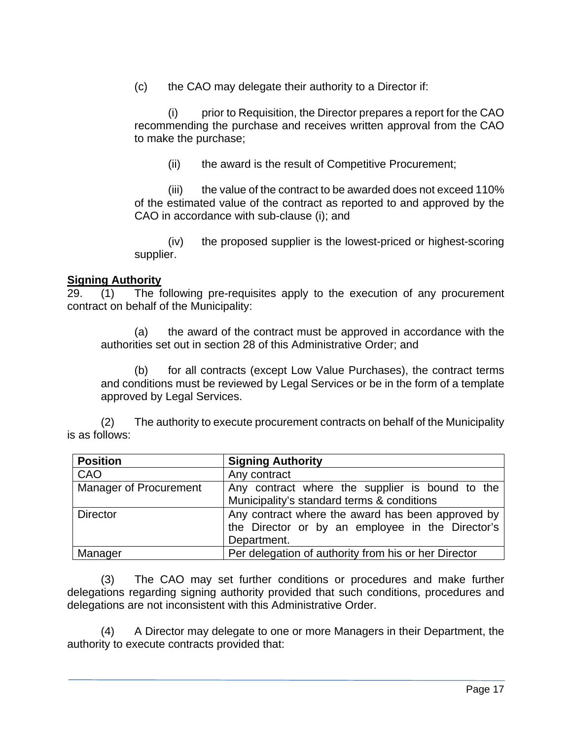(c) the CAO may delegate their authority to a Director if:

(i) prior to Requisition, the Director prepares a report for the CAO recommending the purchase and receives written approval from the CAO to make the purchase;

(ii) the award is the result of Competitive Procurement;

(iii) the value of the contract to be awarded does not exceed 110% of the estimated value of the contract as reported to and approved by the CAO in accordance with sub-clause (i); and

(iv) the proposed supplier is the lowest-priced or highest-scoring supplier.

### **Signing Authority**

29. (1) The following pre-requisites apply to the execution of any procurement contract on behalf of the Municipality:

(a) the award of the contract must be approved in accordance with the authorities set out in section 28 of this Administrative Order; and

(b) for all contracts (except Low Value Purchases), the contract terms and conditions must be reviewed by Legal Services or be in the form of a template approved by Legal Services.

(2) The authority to execute procurement contracts on behalf of the Municipality is as follows:

| <b>Position</b>        | <b>Signing Authority</b>                                                                                             |  |
|------------------------|----------------------------------------------------------------------------------------------------------------------|--|
| CAO                    | Any contract                                                                                                         |  |
| Manager of Procurement | Any contract where the supplier is bound to the<br>Municipality's standard terms & conditions                        |  |
| <b>Director</b>        | Any contract where the award has been approved by<br>the Director or by an employee in the Director's<br>Department. |  |
| Manager                | Per delegation of authority from his or her Director                                                                 |  |

(3) The CAO may set further conditions or procedures and make further delegations regarding signing authority provided that such conditions, procedures and delegations are not inconsistent with this Administrative Order.

(4) A Director may delegate to one or more Managers in their Department, the authority to execute contracts provided that: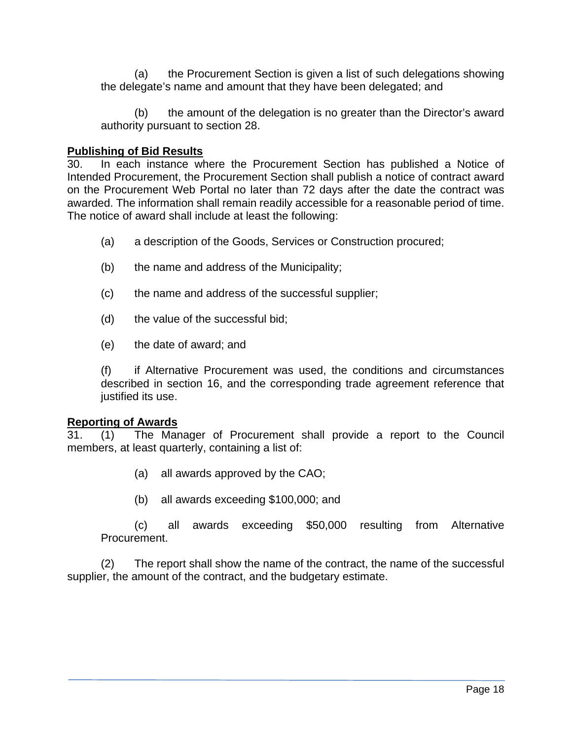(a) the Procurement Section is given a list of such delegations showing the delegate's name and amount that they have been delegated; and

(b) the amount of the delegation is no greater than the Director's award authority pursuant to section 28.

#### **Publishing of Bid Results**

30. In each instance where the Procurement Section has published a Notice of Intended Procurement, the Procurement Section shall publish a notice of contract award on the Procurement Web Portal no later than 72 days after the date the contract was awarded. The information shall remain readily accessible for a reasonable period of time. The notice of award shall include at least the following:

- (a) a description of the Goods, Services or Construction procured;
- (b) the name and address of the Municipality;
- (c) the name and address of the successful supplier;
- (d) the value of the successful bid;
- (e) the date of award; and

(f) if Alternative Procurement was used, the conditions and circumstances described in section 16, and the corresponding trade agreement reference that justified its use.

#### **Reporting of Awards**

31. (1) The Manager of Procurement shall provide a report to the Council members, at least quarterly, containing a list of:

- (a) all awards approved by the CAO;
- (b) all awards exceeding \$100,000; and

(c) all awards exceeding \$50,000 resulting from Alternative Procurement.

(2) The report shall show the name of the contract, the name of the successful supplier, the amount of the contract, and the budgetary estimate.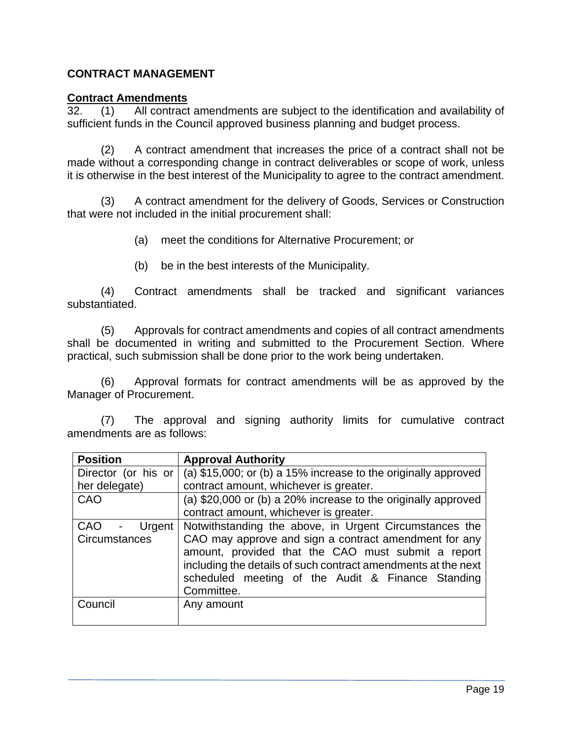## **CONTRACT MANAGEMENT**

#### **Contract Amendments**

32. (1) All contract amendments are subject to the identification and availability of sufficient funds in the Council approved business planning and budget process.

(2) A contract amendment that increases the price of a contract shall not be made without a corresponding change in contract deliverables or scope of work, unless it is otherwise in the best interest of the Municipality to agree to the contract amendment.

(3) A contract amendment for the delivery of Goods, Services or Construction that were not included in the initial procurement shall:

- (a) meet the conditions for Alternative Procurement; or
- (b) be in the best interests of the Municipality.

(4) Contract amendments shall be tracked and significant variances substantiated.

(5) Approvals for contract amendments and copies of all contract amendments shall be documented in writing and submitted to the Procurement Section. Where practical, such submission shall be done prior to the work being undertaken.

(6) Approval formats for contract amendments will be as approved by the Manager of Procurement.

(7) The approval and signing authority limits for cumulative contract amendments are as follows:

| <b>Position</b>      | <b>Approval Authority</b>                                                                                                                                                                                                                       |  |  |
|----------------------|-------------------------------------------------------------------------------------------------------------------------------------------------------------------------------------------------------------------------------------------------|--|--|
| Director (or his or  | (a) \$15,000; or (b) a 15% increase to the originally approved                                                                                                                                                                                  |  |  |
| her delegate)        | contract amount, whichever is greater.                                                                                                                                                                                                          |  |  |
| CAO                  | (a) \$20,000 or (b) a 20% increase to the originally approved                                                                                                                                                                                   |  |  |
|                      | contract amount, whichever is greater.                                                                                                                                                                                                          |  |  |
| <b>CAO</b><br>Urgent | Notwithstanding the above, in Urgent Circumstances the                                                                                                                                                                                          |  |  |
| Circumstances        | CAO may approve and sign a contract amendment for any<br>amount, provided that the CAO must submit a report<br>including the details of such contract amendments at the next<br>scheduled meeting of the Audit & Finance Standing<br>Committee. |  |  |
| Council              | Any amount                                                                                                                                                                                                                                      |  |  |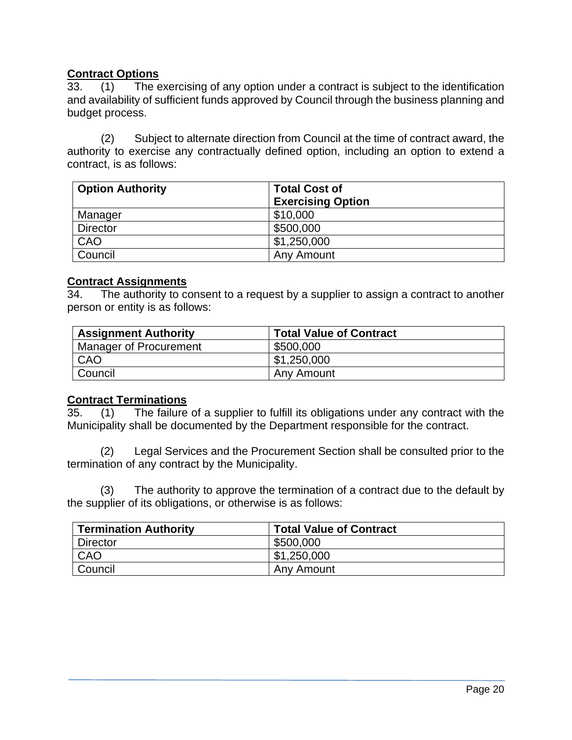## **Contract Options**

33. (1) The exercising of any option under a contract is subject to the identification and availability of sufficient funds approved by Council through the business planning and budget process.

 (2) Subject to alternate direction from Council at the time of contract award, the authority to exercise any contractually defined option, including an option to extend a contract, is as follows:

| <b>Option Authority</b> | <b>Total Cost of</b>     |  |
|-------------------------|--------------------------|--|
|                         | <b>Exercising Option</b> |  |
| Manager                 | \$10,000                 |  |
| <b>Director</b>         | \$500,000                |  |
| CAO                     | \$1,250,000              |  |
| Council                 | Any Amount               |  |

#### **Contract Assignments**

34. The authority to consent to a request by a supplier to assign a contract to another person or entity is as follows:

| <b>Assignment Authority</b> | <b>Total Value of Contract</b> |
|-----------------------------|--------------------------------|
| Manager of Procurement      | \$500,000                      |
| CAO                         | \$1,250,000                    |
| Council                     | Any Amount                     |

#### **Contract Terminations**

35. (1) The failure of a supplier to fulfill its obligations under any contract with the Municipality shall be documented by the Department responsible for the contract.

(2) Legal Services and the Procurement Section shall be consulted prior to the termination of any contract by the Municipality.

(3) The authority to approve the termination of a contract due to the default by the supplier of its obligations, or otherwise is as follows:

| <b>Termination Authority</b> | <b>Total Value of Contract</b> |
|------------------------------|--------------------------------|
| <b>Director</b>              | \$500,000                      |
| CAO                          | \$1,250,000                    |
| Council                      | Any Amount                     |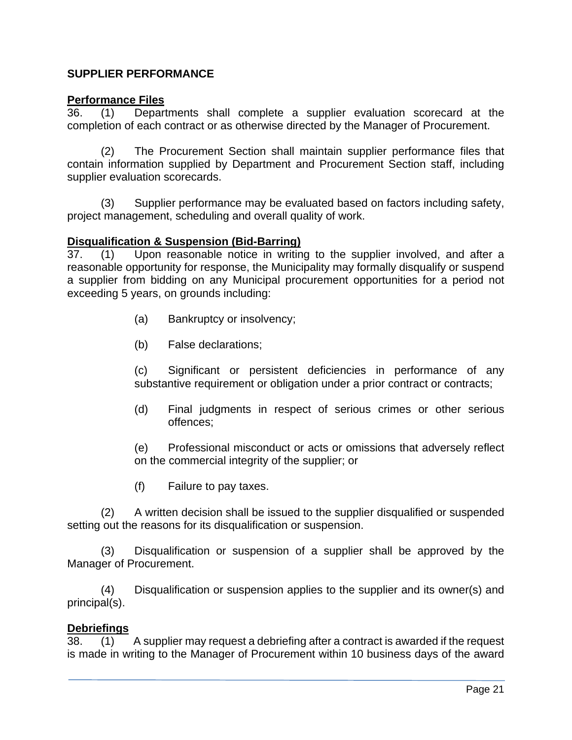## **SUPPLIER PERFORMANCE**

#### **Performance Files**

36. (1) Departments shall complete a supplier evaluation scorecard at the completion of each contract or as otherwise directed by the Manager of Procurement.

(2) The Procurement Section shall maintain supplier performance files that contain information supplied by Department and Procurement Section staff, including supplier evaluation scorecards.

(3) Supplier performance may be evaluated based on factors including safety, project management, scheduling and overall quality of work.

#### **Disqualification & Suspension (Bid-Barring)**

37. (1) Upon reasonable notice in writing to the supplier involved, and after a reasonable opportunity for response, the Municipality may formally disqualify or suspend a supplier from bidding on any Municipal procurement opportunities for a period not exceeding 5 years, on grounds including:

- (a) Bankruptcy or insolvency;
- (b) False declarations;

(c) Significant or persistent deficiencies in performance of any substantive requirement or obligation under a prior contract or contracts;

(d) Final judgments in respect of serious crimes or other serious offences;

(e) Professional misconduct or acts or omissions that adversely reflect on the commercial integrity of the supplier; or

(f) Failure to pay taxes.

(2) A written decision shall be issued to the supplier disqualified or suspended setting out the reasons for its disqualification or suspension.

(3) Disqualification or suspension of a supplier shall be approved by the Manager of Procurement.

(4) Disqualification or suspension applies to the supplier and its owner(s) and principal(s).

#### **Debriefings**

38. (1) A supplier may request a debriefing after a contract is awarded if the request is made in writing to the Manager of Procurement within 10 business days of the award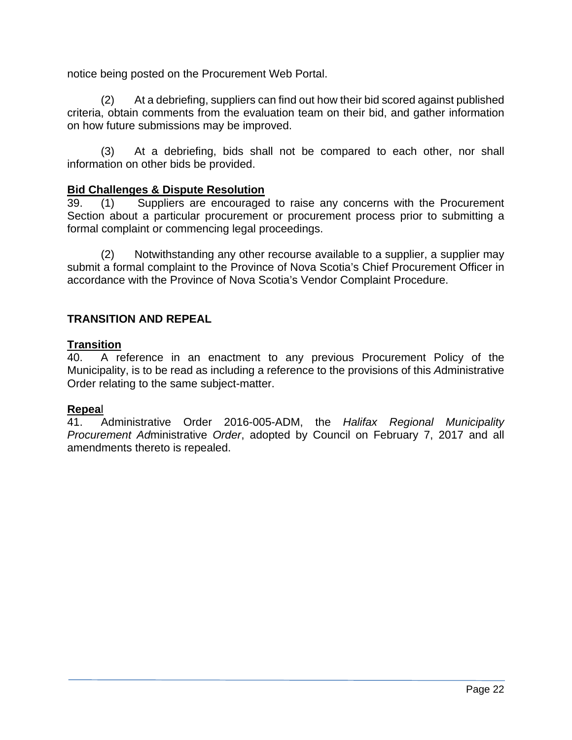notice being posted on the Procurement Web Portal.

(2) At a debriefing, suppliers can find out how their bid scored against published criteria, obtain comments from the evaluation team on their bid, and gather information on how future submissions may be improved.

(3) At a debriefing, bids shall not be compared to each other, nor shall information on other bids be provided.

### **Bid Challenges & Dispute Resolution**

39. (1) Suppliers are encouraged to raise any concerns with the Procurement Section about a particular procurement or procurement process prior to submitting a formal complaint or commencing legal proceedings.

(2) Notwithstanding any other recourse available to a supplier, a supplier may submit a formal complaint to the Province of Nova Scotia's Chief Procurement Officer in accordance with the Province of Nova Scotia's Vendor Complaint Procedure.

## **TRANSITION AND REPEAL**

#### **Transition**

40. A reference in an enactment to any previous Procurement Policy of the Municipality, is to be read as including a reference to the provisions of this *A*dministrative Order relating to the same subject-matter.

#### **Repea**l

41. Administrative Order 2016-005-ADM, the *Halifax Regional Municipality Procurement Ad*ministrative *Order*, adopted by Council on February 7, 2017 and all amendments thereto is repealed.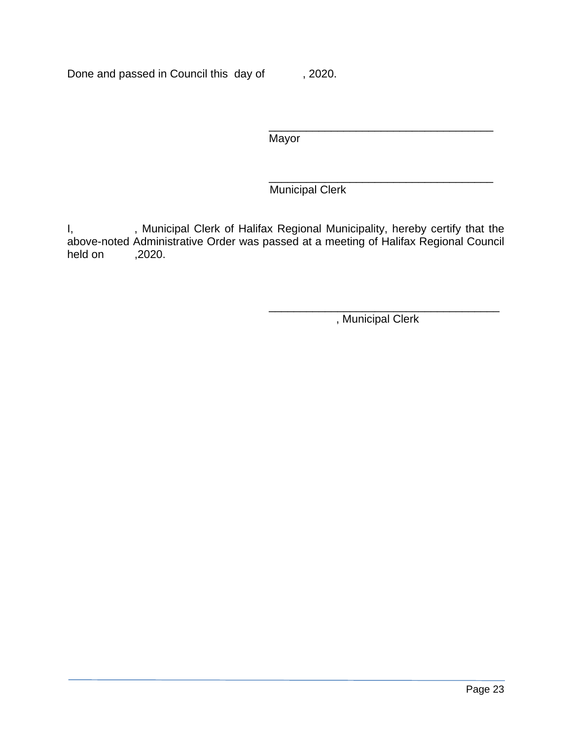Done and passed in Council this day of , 2020.

 $\frac{1}{\sqrt{2\pi}}$  ,  $\frac{1}{\sqrt{2\pi}}$  ,  $\frac{1}{\sqrt{2\pi}}$  ,  $\frac{1}{\sqrt{2\pi}}$  ,  $\frac{1}{\sqrt{2\pi}}$  ,  $\frac{1}{\sqrt{2\pi}}$  ,  $\frac{1}{\sqrt{2\pi}}$  ,  $\frac{1}{\sqrt{2\pi}}$  ,  $\frac{1}{\sqrt{2\pi}}$  ,  $\frac{1}{\sqrt{2\pi}}$  ,  $\frac{1}{\sqrt{2\pi}}$  ,  $\frac{1}{\sqrt{2\pi}}$  ,  $\frac{1}{\sqrt{2\pi}}$  , **Mayor** 

 $\frac{1}{\sqrt{2\pi}}$  , which is a set of the set of the set of the set of the set of the set of the set of the set of the set of the set of the set of the set of the set of the set of the set of the set of the set of the set of Municipal Clerk

I, Sand Municipal Clerk of Halifax Regional Municipality, hereby certify that the above-noted Administrative Order was passed at a meeting of Halifax Regional Council held on ,2020.

 $\frac{1}{\sqrt{2\pi}}$  , which is a set of the set of the set of the set of the set of the set of the set of the set of the set of the set of the set of the set of the set of the set of the set of the set of the set of the set of , Municipal Clerk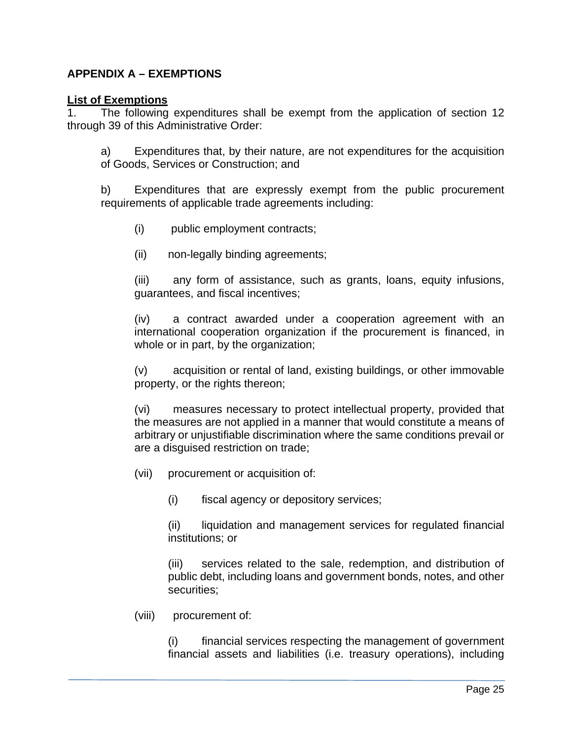## **APPENDIX A – EXEMPTIONS**

#### **List of Exemptions**

1. The following expenditures shall be exempt from the application of section 12 through 39 of this Administrative Order:

a) Expenditures that, by their nature, are not expenditures for the acquisition of Goods, Services or Construction; and

b) Expenditures that are expressly exempt from the public procurement requirements of applicable trade agreements including:

- (i) public employment contracts;
- (ii) non-legally binding agreements;

(iii) any form of assistance, such as grants, loans, equity infusions, guarantees, and fiscal incentives;

(iv) a contract awarded under a cooperation agreement with an international cooperation organization if the procurement is financed, in whole or in part, by the organization;

(v) acquisition or rental of land, existing buildings, or other immovable property, or the rights thereon;

(vi) measures necessary to protect intellectual property, provided that the measures are not applied in a manner that would constitute a means of arbitrary or unjustifiable discrimination where the same conditions prevail or are a disguised restriction on trade;

(vii) procurement or acquisition of:

(i) fiscal agency or depository services;

(ii) liquidation and management services for regulated financial institutions; or

(iii) services related to the sale, redemption, and distribution of public debt, including loans and government bonds, notes, and other securities;

(viii) procurement of:

(i) financial services respecting the management of government financial assets and liabilities (i.e. treasury operations), including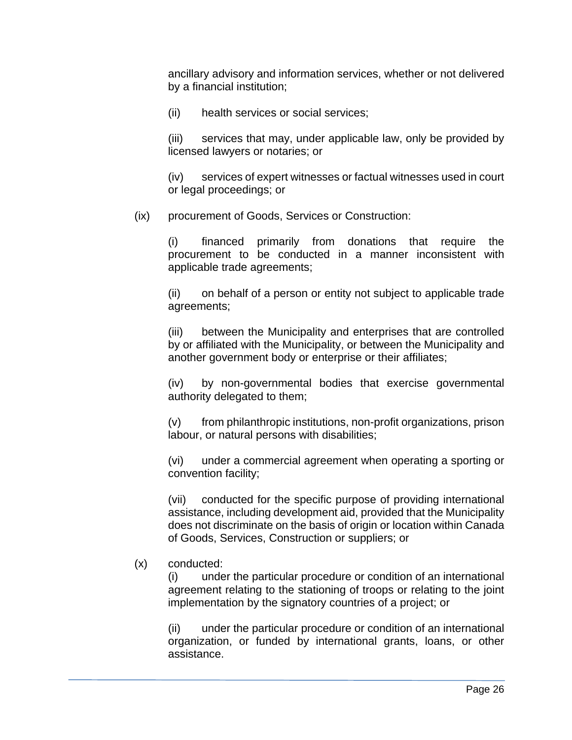ancillary advisory and information services, whether or not delivered by a financial institution;

(ii) health services or social services;

(iii) services that may, under applicable law, only be provided by licensed lawyers or notaries; or

(iv) services of expert witnesses or factual witnesses used in court or legal proceedings; or

(ix) procurement of Goods, Services or Construction:

(i) financed primarily from donations that require the procurement to be conducted in a manner inconsistent with applicable trade agreements;

(ii) on behalf of a person or entity not subject to applicable trade agreements;

(iii) between the Municipality and enterprises that are controlled by or affiliated with the Municipality, or between the Municipality and another government body or enterprise or their affiliates;

(iv) by non-governmental bodies that exercise governmental authority delegated to them;

(v) from philanthropic institutions, non-profit organizations, prison labour, or natural persons with disabilities;

(vi) under a commercial agreement when operating a sporting or convention facility;

(vii) conducted for the specific purpose of providing international assistance, including development aid, provided that the Municipality does not discriminate on the basis of origin or location within Canada of Goods, Services, Construction or suppliers; or

## (x) conducted:

(i) under the particular procedure or condition of an international agreement relating to the stationing of troops or relating to the joint implementation by the signatory countries of a project; or

(ii) under the particular procedure or condition of an international organization, or funded by international grants, loans, or other assistance.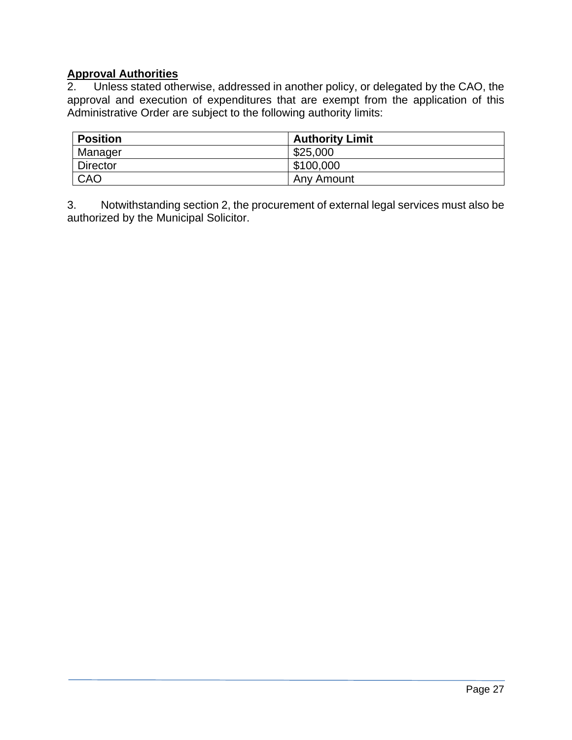# **Approval Authorities**

Unless stated otherwise, addressed in another policy, or delegated by the CAO, the approval and execution of expenditures that are exempt from the application of this Administrative Order are subject to the following authority limits:

| <b>Position</b> | <b>Authority Limit</b> |
|-----------------|------------------------|
| Manager         | \$25,000               |
| <b>Director</b> | \$100,000              |
| CAO             | Any Amount             |

3. Notwithstanding section 2, the procurement of external legal services must also be authorized by the Municipal Solicitor.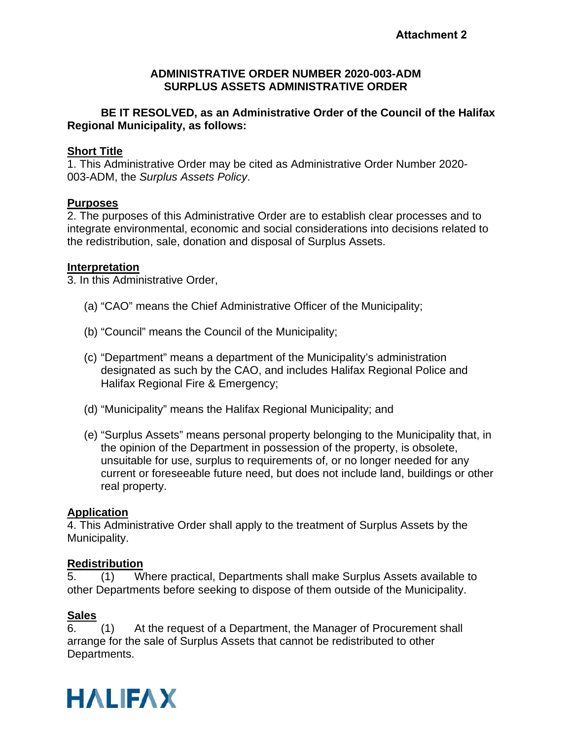#### **ADMINISTRATIVE ORDER NUMBER 2020-003-ADM SURPLUS ASSETS ADMINISTRATIVE ORDER**

### **BE IT RESOLVED, as an Administrative Order of the Council of the Halifax Regional Municipality, as follows:**

#### **Short Title**

1. This Administrative Order may be cited as Administrative Order Number 2020- 003-ADM, the *Surplus Assets Policy*.

### **Purposes**

2. The purposes of this Administrative Order are to establish clear processes and to integrate environmental, economic and social considerations into decisions related to the redistribution, sale, donation and disposal of Surplus Assets.

#### **Interpretation**

3. In this Administrative Order,

- (a) "CAO" means the Chief Administrative Officer of the Municipality;
- (b) "Council" means the Council of the Municipality;
- (c) "Department" means a department of the Municipality's administration designated as such by the CAO, and includes Halifax Regional Police and Halifax Regional Fire & Emergency;
- (d) "Municipality" means the Halifax Regional Municipality; and
- (e) "Surplus Assets" means personal property belonging to the Municipality that, in the opinion of the Department in possession of the property, is obsolete, unsuitable for use, surplus to requirements of, or no longer needed for any current or foreseeable future need, but does not include land, buildings or other real property.

#### **Application**

4. This Administrative Order shall apply to the treatment of Surplus Assets by the Municipality.

#### **Redistribution**

5. (1) Where practical, Departments shall make Surplus Assets available to other Departments before seeking to dispose of them outside of the Municipality.

## **Sales**

6. (1) At the request of a Department, the Manager of Procurement shall arrange for the sale of Surplus Assets that cannot be redistributed to other Departments.

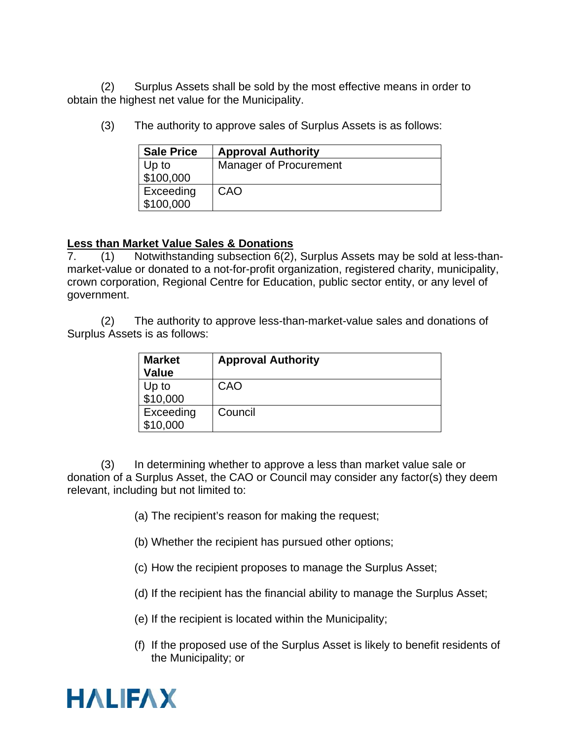(2) Surplus Assets shall be sold by the most effective means in order to obtain the highest net value for the Municipality.

| <b>Sale Price</b> | <b>Approval Authority</b> |
|-------------------|---------------------------|
| Up to             | Manager of Procurement    |
| \$100,000         |                           |
| Exceeding         | CAO                       |
| \$100,000         |                           |

(3) The authority to approve sales of Surplus Assets is as follows:

### **Less than Market Value Sales & Donations**

7. (1) Notwithstanding subsection 6(2), Surplus Assets may be sold at less-thanmarket-value or donated to a not-for-profit organization, registered charity, municipality, crown corporation, Regional Centre for Education, public sector entity, or any level of government.

(2) The authority to approve less-than-market-value sales and donations of Surplus Assets is as follows:

| <b>Market</b><br><b>Value</b> | <b>Approval Authority</b> |
|-------------------------------|---------------------------|
| Up to<br>\$10,000             | CAO                       |
| Exceeding<br>\$10,000         | Council                   |

(3) In determining whether to approve a less than market value sale or donation of a Surplus Asset, the CAO or Council may consider any factor(s) they deem relevant, including but not limited to:

- (a) The recipient's reason for making the request;
- (b) Whether the recipient has pursued other options;
- (c) How the recipient proposes to manage the Surplus Asset;
- (d) If the recipient has the financial ability to manage the Surplus Asset;
- (e) If the recipient is located within the Municipality;
- (f) If the proposed use of the Surplus Asset is likely to benefit residents of the Municipality; or

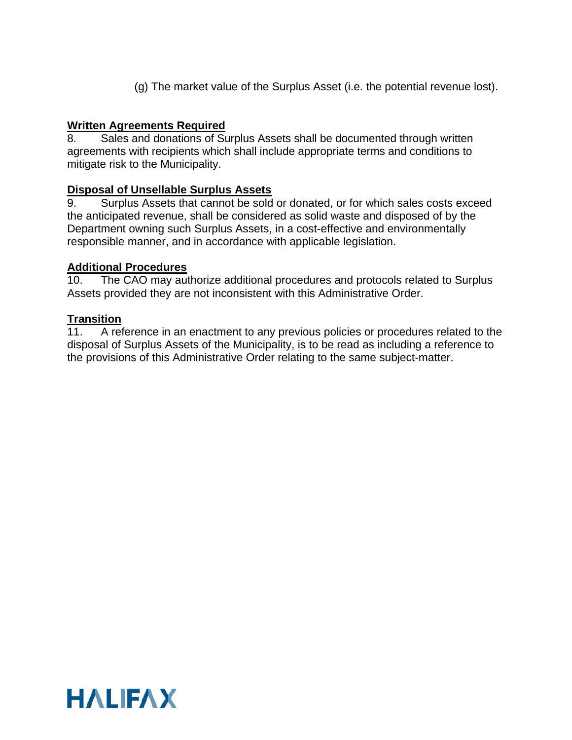(g) The market value of the Surplus Asset (i.e. the potential revenue lost).

## **Written Agreements Required**

8. Sales and donations of Surplus Assets shall be documented through written agreements with recipients which shall include appropriate terms and conditions to mitigate risk to the Municipality.

#### **Disposal of Unsellable Surplus Assets**

9. Surplus Assets that cannot be sold or donated, or for which sales costs exceed the anticipated revenue, shall be considered as solid waste and disposed of by the Department owning such Surplus Assets, in a cost-effective and environmentally responsible manner, and in accordance with applicable legislation.

# **Additional Procedures**<br>10. The CAO may aut

The CAO may authorize additional procedures and protocols related to Surplus Assets provided they are not inconsistent with this Administrative Order.

### **Transition**

11. A reference in an enactment to any previous policies or procedures related to the disposal of Surplus Assets of the Municipality, is to be read as including a reference to the provisions of this Administrative Order relating to the same subject-matter.

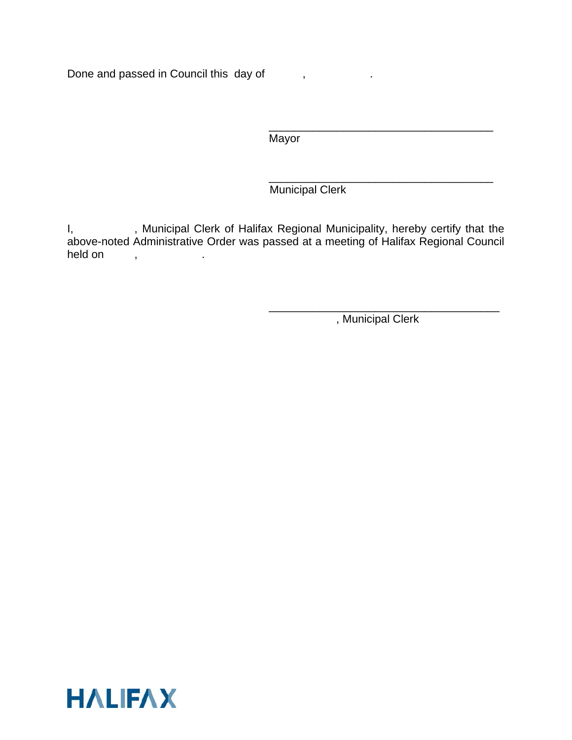Done and passed in Council this day of ,

\_\_\_\_\_\_\_\_\_\_\_\_\_\_\_\_\_\_\_\_\_\_\_\_\_\_\_\_\_\_\_\_\_\_\_\_ **Mayor** 

\_\_\_\_\_\_\_\_\_\_\_\_\_\_\_\_\_\_\_\_\_\_\_\_\_\_\_\_\_\_\_\_\_\_\_\_ Municipal Clerk

I, Sand Municipal Clerk of Halifax Regional Municipality, hereby certify that the above-noted Administrative Order was passed at a meeting of Halifax Regional Council held on , the set of  $\mathcal{L}$ 

> \_\_\_\_\_\_\_\_\_\_\_\_\_\_\_\_\_\_\_\_\_\_\_\_\_\_\_\_\_\_\_\_\_\_\_\_\_ , Municipal Clerk